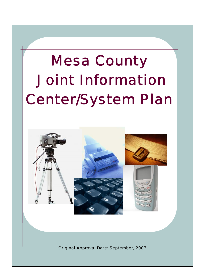# Mesa County Joint Information Center/System Plan



Original Approval Date: September, 2007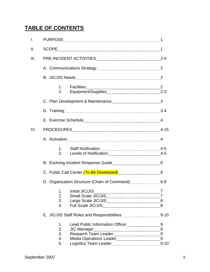# **TABLE OF CONTENTS**

| I.   |                                                  |  |  |  |  |  |
|------|--------------------------------------------------|--|--|--|--|--|
| ΙΙ.  |                                                  |  |  |  |  |  |
| III. |                                                  |  |  |  |  |  |
|      |                                                  |  |  |  |  |  |
|      |                                                  |  |  |  |  |  |
|      | 1.<br>2.                                         |  |  |  |  |  |
|      |                                                  |  |  |  |  |  |
|      |                                                  |  |  |  |  |  |
|      |                                                  |  |  |  |  |  |
| IV.  |                                                  |  |  |  |  |  |
|      |                                                  |  |  |  |  |  |
|      | 1.<br>2.                                         |  |  |  |  |  |
|      |                                                  |  |  |  |  |  |
|      |                                                  |  |  |  |  |  |
|      |                                                  |  |  |  |  |  |
|      | 1. Initial JIC/JIS<br>2.<br>3.<br>4.             |  |  |  |  |  |
|      |                                                  |  |  |  |  |  |
|      | 1.<br>2.<br><b>JIC Manager</b><br>3.<br>4.<br>5. |  |  |  |  |  |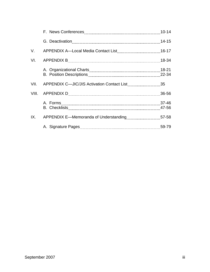| V.  |       |
|-----|-------|
| VI. |       |
|     | 22-34 |
|     |       |
|     |       |
|     |       |
|     |       |
|     |       |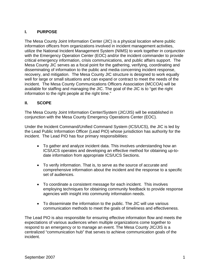# **I. PURPOSE**

The Mesa County Joint Information Center (JIC) is a physical location where public information officers from organizations involved in incident management activities, utilize the National Incident Management System (NIMS) to work together in conjunction with the Emergency Operation Center (EOC) and/or the incident commander to provide critical emergency information, crisis communications, and public affairs support. The Mesa County JIC serves as a focal point for the gathering, verifying, coordinating and disseminating of information to the public and media concerning incident response, recovery, and mitigation. The Mesa County JIC structure is designed to work equally well for large or small situations and can expand or contract to meet the needs of the incident. The Mesa County Communications Officers Association (MCCOA) will be available for staffing and managing the JIC. The goal of the JIC is to "get the right information to the right people at the right time."

#### **II. SCOPE**

The Mesa County Joint Information Center/System (JIC/JIS) will be established in conjunction with the Mesa County Emergency Operations Center (EOC).

Under the Incident Command/Unified Command System (ICS/UCS), the JIC is led by the Lead Public Information Officer (Lead PIO) whose jurisdiction has authority for the incident. The Lead PIO has four primary responsibilities:

- To gather and analyze incident data. This involves understanding how an ICS/UCS operates and developing an effective method for obtaining up-todate information from appropriate ICS/UCS Sections.
- To verify information. That is, to serve as the source of accurate and comprehensive information about the incident and the response to a specific set of audiences.
- To coordinate a consistent message for each incident. This involves employing techniques for obtaining community feedback to provide response agencies with insight into community information needs.
- To disseminate the information to the public. The JIC will use various communication methods to meet the goals of timeliness and effectiveness.

The Lead PIO is also responsible for ensuring effective information flow and meets the expectations of various audiences when multiple organizations come together to respond to an emergency or to manage an event. The Mesa County JIC/JIS is a centralized "communication hub" that serves to achieve communication goals of the incident.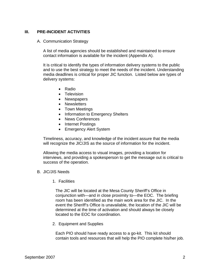#### **III. PRE-INCIDENT ACTIVITIES**

#### A. Communication Strategy

A list of media agencies should be established and maintained to ensure contact information is available for the incident (Appendix A).

It is critical to identify the types of information delivery systems to the public and to use the best strategy to meet the needs of the incident. Understanding media deadlines is critical for proper JIC function. Listed below are types of delivery systems:

- Radio
- Television
- Newspapers
- Newsletters
- Town Meetings
- Information to Emergency Shelters
- News Conferences
- Internet Postings
- Emergency Alert System

Timeliness, accuracy, and knowledge of the incident assure that the media will recognize the JIC/JIS as the source of information for the incident.

Allowing the media access to visual images, providing a location for interviews, and providing a spokesperson to get the message out is critical to success of the operation.

#### B. JIC/JIS Needs

1. Facilities

The JIC will be located at the Mesa County Sheriff's Office in conjunction with—and in close proximity to—the EOC. The briefing room has been identified as the main work area for the JIC. In the event the Sheriff's Office is unavailable, the location of the JIC will be determined at the time of activation and should always be closely located to the EOC for coordination.

2. Equipment and Supplies

Each PIO should have ready access to a go-kit. This kit should contain tools and resources that will help the PIO complete his/her job.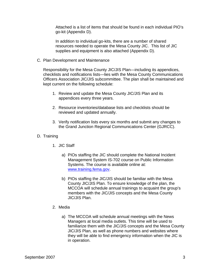Attached is a list of items that should be found in each individual PIO's go-kit (Appendix D).

In addition to individual go-kits, there are a number of shared resources needed to operate the Mesa County JIC. This list of JIC supplies and equipment is also attached (Appendix D).

C. Plan Development and Maintenance

Responsibility for the Mesa County JIC/JIS Plan—including its appendices, checklists and notifications lists—lies with the Mesa County Communications Officers Association JIC/JIS subcommittee. The plan shall be maintained and kept current on the following schedule:

- 1. Review and update the Mesa County JIC/JIS Plan and its appendices every three years.
- 2. Resource inventories/database lists and checklists should be reviewed and updated annually.
- 3. Verify notification lists every six months and submit any changes to the Grand Junction Regional Communications Center (GJRCC).
- D. Training
	- 1. JIC Staff
		- a) PIOs staffing the JIC should complete the National Incident Management System IS-702 course on Public Information Systems. The course is available online at: [www.training.fema.gov](http://www.training.fema.gov/).
		- b) PIOs staffing the JIC/JIS should be familiar with the Mesa County JIC/JIS Plan. To ensure knowledge of the plan, the MCCOA will schedule annual trainings to acquaint the group's members with the JIC/JIS concepts and the Mesa County JIC/JIS Plan.
	- 2. Media
		- a) The MCCOA will schedule annual meetings with the News Managers at local media outlets. This time will be used to familiarize them with the JIC/JIS concepts and the Mesa County JIC/JIS Plan, as well as phone numbers and websites where they will be able to find emergency information when the JIC is in operation.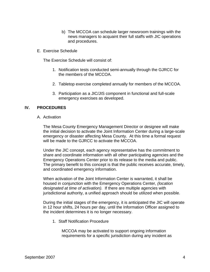- b) The MCCOA can schedule larger newsroom trainings with the news managers to acquaint their full staffs with JIC operations and procedures.
- E. Exercise Schedule

The Exercise Schedule will consist of:

- 1. Notification tests conducted semi-annually through the GJRCC for the members of the MCCOA.
- 2. Tabletop exercise completed annually for members of the MCCOA.
- 3. Participation as a JIC/JIS component in functional and full-scale emergency exercises as developed.

#### **IV. PROCEDURES**

A. Activation

The Mesa County Emergency Management Director or designee will make the initial decision to activate the Joint Information Center during a large-scale emergency or disaster affecting Mesa County. At this time a formal request will be made to the GJRCC to activate the MCCOA.

Under the JIC concept, each agency representative has the commitment to share and coordinate information with all other participating agencies and the Emergency Operations Center prior to its release to the media and public. The primary benefit to this concept is that the public receives accurate, timely, and coordinated emergency information.

When activation of the Joint Information Center is warranted, it shall be housed in conjunction with the Emergency Operations Center, *(location designated at time of activation).* If there are multiple agencies with jurisdictional authority, a unified approach should be utilized when possible.

During the initial stages of the emergency, it is anticipated the JIC will operate in 12 hour shifts, 24 hours per day, until the Information Officer assigned to the incident determines it is no longer necessary.

1. Staff Notification Procedure

MCCOA may be activated to support ongoing information requirements for a specific jurisdiction during any incident as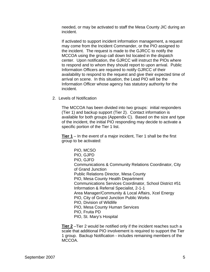needed, or may be activated to staff the Mesa County JIC during an incident.

If activated to support incident information management, a request may come from the Incident Commander, or the PIO assigned to the incident. The request is made to the GJRCC to notify the MCCOA using the group call down list located in the dispatch center. Upon notification, the GJRCC will instruct the PIOs where to respond and to whom they should report to upon arrival. Public Information Officers are required to notify GJRCC of their availability to respond to the request and give their expected time of arrival on scene. In this situation, the Lead PIO will be the Information Officer whose agency has statutory authority for the incident.

2. Levels of Notification

The MCCOA has been divided into two groups: initial responders (Tier 1) and backup support (Tier 2). Contact information is available for both groups (Appendix C). Based on the size and type of the incident, the initial PIO responding may decide to activate a specific portion of the Tier 1 list.

**Tier 1** – In the event of a major incident, Tier 1 shall be the first group to be activated:

> PIO, MCSO PIO, GJPD PIO, GJFD Communications & Community Relations Coordinator, City of Grand Junction Public Relations Director, Mesa County PIO, Mesa County Health Department Communications Services Coordinator, School District #51 Information & Referral Specialist, 2-1-1 Area Manager/Community & Local Affairs, Xcel Energy PIO, City of Grand Junction Public Works PIO, Division of Wildlife PIO, Mesa County Human Services PIO, Fruita PD PIO, St. Mary's Hospital

**Tier 2** –Tier 2 would be notified only if the incident reaches such a scale that additional PIO involvement is required to support the Tier 1 group. Backup Notification - includes remaining members of the MCCOA.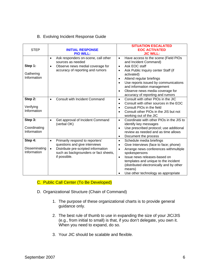#### B. Evolving Incident Response Guide

| <b>STEP</b>                             | <b>INITIAL RESPONSE</b><br><b>PIO WILL:</b>                                                                                                                                                | <b>SITUATION ESCALATED</b><br><b>EOC ACTIVATED</b><br><b>JIC WILL:</b>                                                                                                                                                                                                                                                                                                                     |
|-----------------------------------------|--------------------------------------------------------------------------------------------------------------------------------------------------------------------------------------------|--------------------------------------------------------------------------------------------------------------------------------------------------------------------------------------------------------------------------------------------------------------------------------------------------------------------------------------------------------------------------------------------|
| Step 1:<br>Gathering<br>Information     | Ask responders on-scene, call other<br>$\bullet$<br>sources as needed<br>Observe news medial coverage for<br>$\bullet$<br>accuracy of reporting and rumors                                 | Have access to the scene (Field PIOs<br>$\bullet$<br>and Incident Command)<br>Ask EOC staff<br>$\bullet$<br>Ask Public Inquiry center Staff (if<br>$\bullet$<br>activated)<br>Attend regular briefings<br>$\bullet$<br>Use reports issued by communications<br>$\bullet$<br>and information management<br>Observe news media coverage for<br>$\bullet$<br>accuracy of reporting and rumors |
| Step 2:<br>Verifying<br>Information     | <b>Consult with Incident Command</b><br>$\bullet$                                                                                                                                          | Consult with other PIOs in the JIC<br>$\bullet$<br>Consult with other sources in the EOC<br>$\bullet$<br>Consult PIOs in the field<br>$\bullet$<br>Consult other PIOs in the JIS but not<br>$\bullet$<br>working out of the JIC                                                                                                                                                            |
| Step 3:<br>Coordinating<br>Information  | Get approval of Incident Command<br>$\bullet$<br>(verbal OK)                                                                                                                               | Coordinate with other PIOs in the JIS to<br>$\bullet$<br>identify key messages<br>Use prescribed protocol; use additional<br>$\bullet$<br>review as needed and as time allows<br>Document the process<br>$\bullet$                                                                                                                                                                         |
| Step 4:<br>Disseminating<br>Information | Primarily respond to reporters'<br>$\bullet$<br>questions and give interviews<br>Distribute pre-scripted information<br>$\bullet$<br>such as backgrounders or fact sheets,<br>if possible. | Schedule media briefings<br>$\bullet$<br>Give Interviews (face to face; phone)<br>$\bullet$<br>Arrange news conferences withmultiple<br>$\bullet$<br>spokespersons<br>Issue news releases-based on<br>$\bullet$<br>templates and unique to the incident<br>(distributed electronically and by other<br>means)<br>Use other technology as appropriate                                       |

#### C. Public Call Center (To Be Developed)

- D. Organizational Structure (Chain of Command)
	- 1. The purpose of these organizational charts is to provide general guidance only.
	- 2. The best rule of thumb to use in expanding the size of your JIC/JIS (e.g., from initial to small) is that, if you don't delegate, you own it. When you need to expand, do so.
	- 3. Your JIC should be scalable and flexible.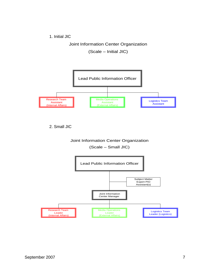1. Initial JIC

Joint Information Center Organization

(Scale – Initial JIC)



2. Small JIC

# Joint Information Center Organization (Scale – Small JIC)

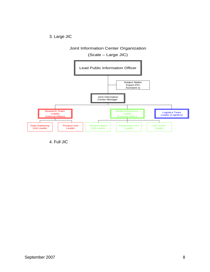3. Large JIC

# Joint Information Center Organization

#### (Scale – Large JIC)



4. Full JIC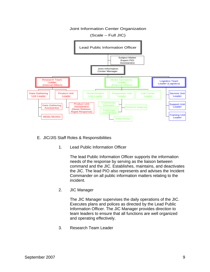

- E. JIC/JIS Staff Roles & Responsibilities
	- 1. Lead Public Information Officer

The lead Public Information Officer supports the information needs of the response by serving as the liaison between command and the JIC. Establishes, maintains, and deactivates the JIC. The lead PIO also represents and advises the Incident Commander on all public information matters relating to the incident.

2. JIC Manager

The JIC Manager supervises the daily operations of the JIC. Executes plans and polices as directed by the Lead Public Information Officer. The JIC Manager provides direction to team leaders to ensure that all functions are well organized and operating effectively.

3. Research Team Leader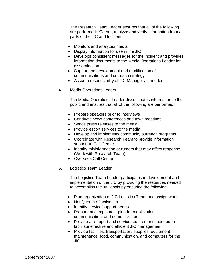The Research Team Leader ensures that all of the following are performed: Gather, analyze and verify information from all parts of the JIC and Incident

- Monitors and analyzes media
- Display information for use in the JIC
- Develops consistent messages for the incident and provides information documents to the Media Operations Leader for dissemination
- Support the development and modification of communications and outreach strategy
- Assume responsibility of JIC Manager as needed
- 4. Media Operations Leader

The Media Operations Leader disseminates information to the public and ensures that all of the following are performed:

- Prepare speakers prior to interviews
- Conducts news conferences and town meetings
- Sends press releases to the media
- Provide escort services to the media
- Develop and implements community outreach programs
- Coordinate with Research Team to provide information support to Call Center
- Identify misinformation or rumors that may affect response (Work with Research Team)
- Oversees Call Center
- 5. Logistics Team Leader

The Logistics Team Leader participates in development and implementation of the JIC by providing the resources needed to accomplish the JIC goals by ensuring the following:

- Plan organization of JIC Logistics Team and assign work
- Notify team of activation
- Identify service/support needs
- Prepare and implement plan for mobilization, communication, and demobilization
- Provide all support and service requirements needed to facilitate effective and efficient JIC management
- Provide facilities, transportation, supplies, equipment maintenance, food, communication, and computers for the JIC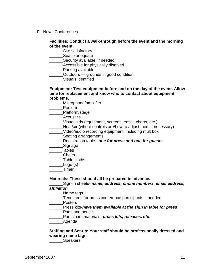F. News Conferences

#### **Facilities: Conduct a walk-through before the event and the morning of the event.**

Site satisfactory

\_\_\_\_\_\_Space adequate

\_\_\_\_\_\_Security available, if needed.

**\_\_\_\_\_\_\_Accessible for physically disabled** 

**Example 21 Parking available** 

\_\_\_\_\_\_Outdoors — grounds in good condition

\_\_\_\_\_\_Visuals identified

#### **Equipment: Test equipment before and on the day of the event. Allow time for replacement and know who to contact about equipment problems.**

\_\_\_\_\_\_Microphone/amplifier

\_\_\_\_\_\_Podium

\_\_\_\_\_\_Platform/stage

Acoustics

\_\_\_\_\_\_Visual aids (equipment, screens, easel, charts, etc.)

Heat/air (where controls are/how to adjust them if necessary)

\_\_\_\_\_\_Video/audio recording equipment, including mult box

Seating arrangements

\_\_\_\_\_\_Registration table –*one for press and one for guests* 

**Signage** 

**Tables** 

\_\_\_\_\_\_Chairs

\_\_\_\_\_\_Table cloths

\_\_\_\_\_\_Logo (s)

\_\_\_\_\_\_Timer

**Materials: These should all be prepared in advance.** 

\_\_\_\_\_\_Sign-in sheets- *name, address, phone numbers, email address, affiliation* 

Name tags

\_\_\_\_\_\_Tent cards for press conference participants if needed

\_\_\_\_\_\_Posters

\_\_\_\_\_\_Press kits-*have them available at the sign in table for press* 

\_\_\_\_\_\_Pads and pencils

\_\_\_\_\_\_Participant materials- *press kits, releases, etc*.

Agenda

#### **Staffing and Set-up: Your staff should be professionally dressed and wearing name tags.**

\_\_\_\_\_\_Speakers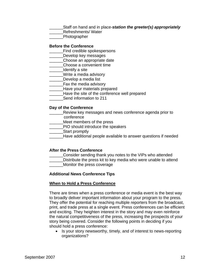\_\_\_\_\_\_Staff on hand and in place-*station the greeter(s) appropriately* 

\_\_\_\_\_\_Refreshments/ Water

\_\_\_\_\_\_Photographer

#### **Before the Conference**

- **EXECUTE:** Find credible spokespersons
- **LECO** Develop key messages
- \_\_\_\_\_\_Choose an appropriate date
- \_\_\_\_\_\_Choose a convenient time
- \_\_\_\_\_\_Identify a site
- \_\_\_\_\_\_Write a media advisory
- Develop a media list
- \_\_\_\_\_\_Fax the media advisory
- \_\_\_\_\_\_Have your materials prepared
- Have the site of the conference well prepared
- Send information to 211

#### **Day of the Conference**

- **Number 2018** Review key messages and news conference agenda prior to conference
- \_\_\_\_\_\_Meet members of the press
- \_\_\_\_\_\_PIO should introduce the speakers
- **Example 15 Start promptly**
- \_\_\_\_\_\_Have additional people available to answer questions if needed

#### **After the Press Conference**

- Consider sending thank you notes to the VIPs who attended
- Distribute the press kit to key media who were unable to attend Monitor the press coverage

#### **Additional News Conference Tips**

#### **When to Hold a Press Conference**

There are times when a press conference or media event is the best way to broadly deliver important information about your program to the press. They offer the potential for reaching multiple reporters from the broadcast, print, and trade press at a single event. Press conferences can be efficient and exciting. They heighten interest in the story and may even reinforce the natural competitiveness of the press, increasing the prospects of your story being covered. Consider the following points in deciding if you should hold a press conference:

• Is your story newsworthy, timely, and of interest to news-reporting organizations?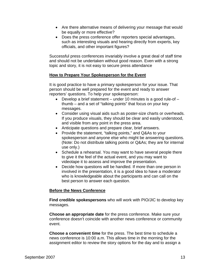- Are there alternative means of delivering your message that would be equally or more effective?
- Does the press conference offer reporters special advantages, such as interesting visuals and hearing directly from experts, key officials, and other important figures?

Successful press conferences invariably involve a great deal of staff time and should not be undertaken without good reason. Even with a strong topic and story, it is not easy to secure press attendance

#### **How to Prepare Your Spokesperson for the Event**

It is good practice to have a primary spokesperson for your issue. That person should be well prepared for the event and ready to answer reporters' questions. To help your spokesperson:

- Develop a brief statement under 10 minutes is a good rule-of thumb – and a set of "talking points" that focus on your key messages.
- Consider using visual aids such as poster-size charts or overheads. If you produce visuals, they should be clear and easily understood, and visible from any point in the press area.
- Anticipate questions and prepare clear, brief answers.
- Provide the statement, "talking points," and Q&As to your spokesperson and anyone else who might be answering questions. (Note: Do not distribute talking points or Q&As; they are for internal use only.)
- Schedule a rehearsal. You may want to have several people there to give it the feel of the actual event, and you may want to videotape it to assess and improve the presentation.
- Decide how questions will be handled. If more than one person in involved in the presentation, it is a good idea to have a moderator who is knowledgeable about the participants and can call on the best person to answer each question.

#### **Before the News Conference**

**Find credible spokespersons** who will work with PIO/JIC to develop key messages.

**Choose an appropriate date** for the press conference. Make sure your conference doesn't coincide with another news conference or community event.

**Choose a convenient time** for the press. The best time to schedule a news conference is 10:00 a.m. This allows time in the morning for the assignment editor to review the story options for the day and to assign a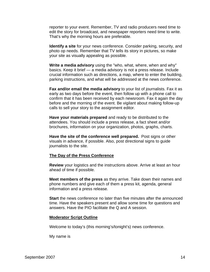reporter to your event. Remember, TV and radio producers need time to edit the story for broadcast, and newspaper reporters need time to write. That's why the morning hours are preferable.

**Identify a site** for your news conference. Consider parking, security, and photo op needs. Remember that TV tells its story in pictures, so make your site as visually appealing as possible.

**Write a media advisory** using the "who, what, where, when and why" basics. Keep it brief — a media advisory is not a press release. Include crucial information such as directions, a map, where to enter the building, parking instructions, and what will be addressed at the news conference.

**Fax and/or email the media advisory** to your list of journalists. Fax it as early as two days before the event, then follow up with a phone call to confirm that it has been received by each newsroom. Fax it again the day before and the morning of the event. Be vigilant about making follow-up calls to sell your story to the assignment editor.

**Have your materials prepared** and ready to be distributed to the attendees. You should include a press release, a fact sheet and/or brochures, information on your organization, photos, graphs, charts.

**Have the site of the conference well prepared.** Post signs or other visuals in advance, if possible. Also, post directional signs to guide journalists to the site.

#### **The Day of the Press Conference**

**Review** your logistics and the instructions above. Arrive at least an hour ahead of time if possible.

**Meet members of the press** as they arrive. Take down their names and phone numbers and give each of them a press kit, agenda, general information and a press release.

**Start** the news conference no later than five minutes after the announced time. Have the speakers present and allow some time for questions and answers. Have the PIO facilitate the Q and A session.

#### **Moderator Script Outline**

Welcome to today's (this morning's/tonight's) news conference.

My name is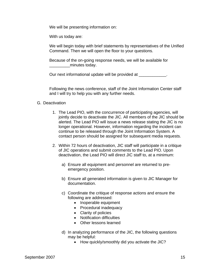We will be presenting information on:

With us today are:

We will begin today with brief statements by representatives of the Unified Command. Then we will open the floor to your questions.

Because of the on-going response needs, we will be available for minutes today.

Our next informational update will be provided at  $\qquad \qquad$ .

Following the news conference, staff of the Joint Information Center staff and I will try to help you with any further needs.

#### G. Deactivation

- 1. The Lead PIO, with the concurrence of participating agencies, will jointly decide to deactivate the JIC. All members of the JIC should be alerted. The Lead PIO will issue a news release stating the JIC is no longer operational. However, information regarding the incident can continue to be released through the Joint Information System. A contact person should be assigned for subsequent media requests.
- 2. Within 72 hours of deactivation, JIC staff will participate in a critique of JIC operations and submit comments to the Lead PIO. Upon deactivation, the Lead PIO will direct JIC staff to, at a minimum:
	- a) Ensure all equipment and personnel are returned to preemergency position.
	- b) Ensure all generated information is given to JIC Manager for documentation.
	- c) Coordinate the critique of response actions and ensure the following are addressed:
		- Inoperable equipment
		- Procedural inadequacy
		- Clarity of policies
		- Notification difficulties
		- Other lessons learned
	- d) In analyzing performance of the JIC, the following questions may be helpful:
		- How quickly/smoothly did you activate the JIC?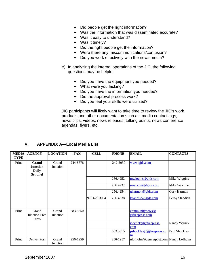- Did people get the right information?
- Was the information that was disseminated accurate?
- Was it easy to understand?
- Was it timely?
- Did the right people get the information?
- Were there any miscommunications/confusion?
- Did you work effectively with the news media?
- e) In analyzing the internal operations of the JIC, the following questions may be helpful:
	- Did you have the equipment you needed?
	- What were you lacking?
	- Did you have the information you needed?
	- Did the approval process work?
	- Did you feel your skills were utilized?

JIC participants will likely want to take time to review the JIC's work products and other documentation such as: media contact logs, news clips, videos, news releases, talking points, news conference agendas, flyers, etc.

# **V. APPENDIX A—Local Media List**

| <b>MEDIA</b><br><b>TYPE</b> | <b>AGENCY</b>                                               | <b>LOCATION</b>   | <b>FAX</b> | <b>CELL</b>  | <b>PHONE</b> | <b>EMAIL</b>                          | <b>CONTACTS</b>     |
|-----------------------------|-------------------------------------------------------------|-------------------|------------|--------------|--------------|---------------------------------------|---------------------|
| Print                       | Grand<br><b>Junction</b><br><b>Daily</b><br><b>Sentinel</b> | Grand<br>Junction | 244-8578   |              | 242-5050     | www.gjds.com                          |                     |
|                             |                                                             |                   |            |              | 256.4252     | mwiggins@gids.com                     | Mike Wiggins        |
|                             |                                                             |                   |            |              | 256.4237     | msaccone@gjds.com                     | <b>Mike Saccone</b> |
|                             |                                                             |                   |            |              | 256.4254     | gharmon@gjds.com                      | Gary Harmon         |
|                             |                                                             |                   |            | 970.623.3054 | 256.4238     | lstandish@gjds.com                    | Leroy Standish      |
|                             |                                                             |                   |            |              |              |                                       |                     |
| Print                       | Grand<br>Junction Free<br>Press                             | Grand<br>Junction | 683-5650   |              |              | communitynews@<br>gjfreepress.com     |                     |
|                             |                                                             |                   |            |              |              | rwyrick@grfreepress.<br>com           | Randy Wyrick        |
|                             |                                                             |                   |            |              | 683.5615     | pshockley@gjfreepress.co<br>m         | Paul Shockley       |
| Print                       | Denver Post                                                 | Grand<br>Junction | 256-1959   |              | 256-1957     | nlofholm@denverpost.com Nancy Lofholm |                     |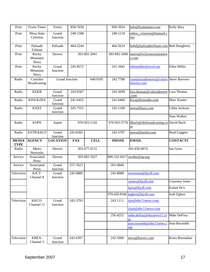| Print                       | <b>Fruita Times</b>              | Fruita                | 858-7658   |              | 858-3924     | info@fruitatimes.com                                            | Kelly Bary            |
|-----------------------------|----------------------------------|-----------------------|------------|--------------|--------------|-----------------------------------------------------------------|-----------------------|
| Print                       | Mesa State<br>Criterion          | Grand<br>Junction     | 248-1508   |              | 248-1218     | editor criterion@hotmail.c<br>om                                |                       |
| Print                       | Palisade<br>Tribune              | Palisade              | 464-5244   |              | 464-5614     | bobd@palisadetribune.com Bob Dougherty                          |                       |
| Print                       | Rocky<br>Mountain<br><b>News</b> | Denver                |            | 303-892-2841 | 303-892-5000 | metro@rockymountainnew<br>s.com                                 |                       |
| Print                       | Rocky<br>Mountain<br><b>News</b> | Grand<br>Junction     | 245-8572   |              | 241-3442     | ellenmiller@acsol.net                                           | Ellen Miller          |
| Radio                       | Cumulus<br><b>Broadcasting</b>   | <b>Grand Junction</b> |            | 640.0185     | 242.7788     | cumulusradionews@colora Steve Barrows<br>dowest.com             |                       |
| Radio                       | <b>KEKB</b>                      | Grand<br>Junction     | 243-0567   |              | 243-3699     | lara.thomas@coloradowest Lara Thomas<br>.com                    |                       |
| Radio                       | <b>KISS/KZKS</b>                 | Grand<br>Junction     | 241-6452   |              | 241-6460     | Kiss@kissradio.com                                              | Marc Kanter           |
| Radio                       | <b>KNZZ</b>                      | Grand<br>Junction     | 245-7551   |              | 245-1100     | news@knzz.com                                                   | Libby Jackson         |
|                             |                                  |                       |            |              |              |                                                                 | Nate Walker           |
| Radio                       | <b>KSPN</b>                      | Aspen                 |            | 970-925-1142 | 970-925-5776 | dbach@nbcbroadcasting.co David Bach<br>$\underline{\mathbf{m}}$ |                       |
| Radio                       | <b>KSTR/KKGJ</b>                 | Grand                 | 245-6585   |              | 242-5787     | news@kstrfm.com                                                 | <b>Brad Leggett;</b>  |
|                             |                                  | Junction              |            |              |              |                                                                 |                       |
| <b>MEDIA</b><br><b>TYPE</b> | <b>AGENCY</b>                    | <b>LOCATION</b>       | <b>FAX</b> | <b>CELL</b>  | <b>PHONE</b> | <b>EMAIL</b>                                                    | <b>CONTACTS</b>       |
| Radio                       | Metro<br>Networks                | Denver                |            | 303-477-0131 |              | 303-458-0874                                                    | Ian Gurtz             |
| Service                     | Associated<br>Press              | Denver                |            | 303-892-5927 |              | 800-332-6917 rweller@ap.org                                     |                       |
| Service                     | Associated<br>Press              | Grand<br>Junction     | 257-7623   |              | 261-0046     |                                                                 |                       |
| Television                  | KJCT-<br>Channel 8               | Grand<br>Junction     | 245-0889   |              | 245-8888     | newsroom@kjct8.com                                              |                       |
|                             |                                  |                       |            |              |              | cjones@kjct8.com                                                | <b>Courtney Jones</b> |
|                             |                                  |                       |            |              |              | kpea@kjct8.com                                                  | Kalani Pe'a           |
|                             |                                  |                       |            |              | 970.420.8546 | jegbert@kjct8.com                                               | Josh Egbert           |
| Television                  | KKCO-<br>Channel 11              | Grand<br>Junction     | 245-3793   |              | 243.1111     | tips@nbc11news.com;                                             |                       |
|                             |                                  |                       |            |              |              | chart@nbc11news.com                                             |                       |
|                             |                                  |                       |            |              | 256.4252     | mike.defina@nbcnews11.co<br>m                                   | Mike DeFina           |
|                             |                                  |                       |            |              |              | jean.reynolds@nbc11news.c<br>om                                 | Jean Reynolds         |
|                             |                                  |                       |            |              |              |                                                                 |                       |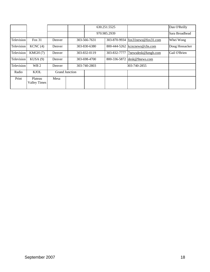|            |                                |                       |              | 630.251.5525 |                         | Dan O'Reilly   |
|------------|--------------------------------|-----------------------|--------------|--------------|-------------------------|----------------|
|            |                                |                       |              | 970.985.2939 |                         | Sara Broadhead |
| Television | Fox 31                         | Denver                | 303-566-7631 | 303-870-9934 | $f(x31)$ news@fox31.com | Whei Wong      |
| Television | KCNC(4)                        | Denver                | 303-830-6380 |              | kcncnews@cbs.com        | Doug Hossacker |
| Television | KMGH(7)                        | Denver                | 303-832-0119 |              | 7newsdesk@kmgh.com      | Gail O'Brien   |
| Television | KUSA(9)                        | Denver                | 303-698-4700 | 800-336-5872 | $\text{desk@9news.com}$ |                |
| Television | WB <sub>2</sub>                | Denver                | 303-740-2803 |              | 303-740-2855            |                |
| Radio      | <b>KJOL</b>                    | <b>Grand Junction</b> |              |              |                         |                |
| Print      | Plateau<br><b>Valley Times</b> | Mesa                  |              |              |                         |                |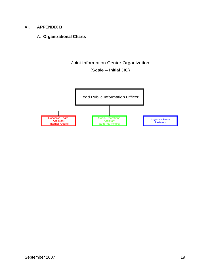#### **VI. APPENDIX B**

#### A. **Organizational Charts**

Joint Information Center Organization

(Scale – Initial JIC)

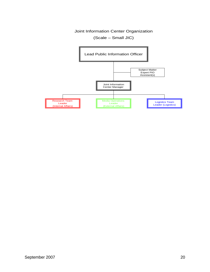(Scale – Small JIC)

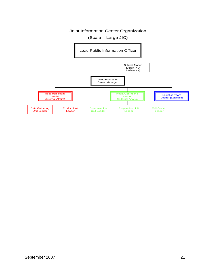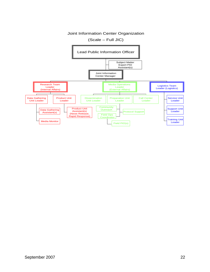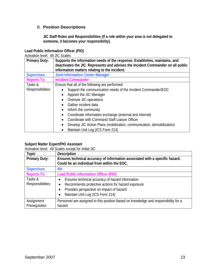# B. **Position Descriptions**

**JIC Staff Roles and Responsibilities (If a role within your area is not delegated to someone, it becomes your responsibility).** 

#### **Lead Public Information Officer (PIO)**

Activation level: All JIC Scales

| <b>Primary Duty:</b> | Supports the information needs of the response. Establishes, maintains, and<br>deactivates the JIC. Represents and advises the Incident Commander on all public<br>information matters relating to the incident. |
|----------------------|------------------------------------------------------------------------------------------------------------------------------------------------------------------------------------------------------------------|
| <b>Supervises:</b>   | <b>Joint Information Center Manager</b>                                                                                                                                                                          |
| <b>Reports To:</b>   | <b>Incident Commander</b>                                                                                                                                                                                        |
| Tasks &              | Ensure that all of the following are performed:                                                                                                                                                                  |
| Responsibilities:    | Support the communication needs of the Incident Commander/EOC                                                                                                                                                    |
|                      | Appoint the JIC Manager<br>$\bullet$                                                                                                                                                                             |
|                      | Oversee JIC operations<br>$\bullet$                                                                                                                                                                              |
|                      | Gather incident data                                                                                                                                                                                             |
|                      | Inform the community<br>$\bullet$                                                                                                                                                                                |
|                      | Coordinate information exchange (external and internal)                                                                                                                                                          |
|                      | Coordinate with Command Staff Liaison Officer<br>$\bullet$                                                                                                                                                       |
|                      | Develop JIC Action Plans (mobilization, communication, demobilization)<br>$\bullet$                                                                                                                              |
|                      | Maintain Unit Log (ICS Form 214)<br>$\bullet$                                                                                                                                                                    |

#### **Subject Matter Expert/PIO Assistant**

Activation level: All Scales except for Initial JIC

| Topic                        | <b>Description</b>                                                                                                                                                                                                                        |
|------------------------------|-------------------------------------------------------------------------------------------------------------------------------------------------------------------------------------------------------------------------------------------|
| <b>Primary Duty:</b>         | Ensures technical accuracy of information associated with a specific hazard.<br>Could be an individual from within the EOC.                                                                                                               |
| <b>Supervises:</b>           | <b>NA</b>                                                                                                                                                                                                                                 |
| <b>Reports To:</b>           | <b>Lead Public Information Officer (PIO)</b>                                                                                                                                                                                              |
| Tasks &<br>Responsibilities: | Ensures technical accuracy of hazard information<br>$\bullet$<br>Recommends protective actions for hazard exposure<br>$\bullet$<br>Provides perspective on impact of hazard<br>$\bullet$<br>Maintain Unit Log (ICS Form 214)<br>$\bullet$ |
| Assignment<br>Prerequisites: | Personnel are assigned to this position based on knowledge and responsibility for a<br>hazard                                                                                                                                             |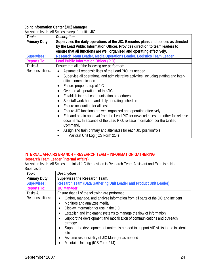#### **Joint Information Center (JIC) Manager**

Activation level: All Scales except for Initial JIC

| Topic                | $\overline{\phantom{a}}$ . The set of the set of the set of the set of the set of the set of the set of the set of the set of the set of the set of the set of the set of the set of the set of the set of the set of the set of the set o<br><b>Description</b> |
|----------------------|------------------------------------------------------------------------------------------------------------------------------------------------------------------------------------------------------------------------------------------------------------------|
| <b>Primary Duty:</b> | Supervises the daily operations of the JIC. Executes plans and polices as directed                                                                                                                                                                               |
|                      | by the Lead Public Information Officer. Provides direction to team leaders to                                                                                                                                                                                    |
|                      | ensure that all functions are well organized and operating effectively.                                                                                                                                                                                          |
| <b>Supervises:</b>   | Research Team Leader, Media Operations Leader, Logistics Team Leader                                                                                                                                                                                             |
| <b>Reports To:</b>   | <b>Lead Public Information Officer (PIO)</b>                                                                                                                                                                                                                     |
| Tasks &              | Ensure that all of the following are performed:                                                                                                                                                                                                                  |
| Responsibilities:    | Assume all responsibilities of the Lead PIO, as needed                                                                                                                                                                                                           |
|                      | Supervise all operational and administrative activities, including staffing and inter-<br>office communication                                                                                                                                                   |
|                      |                                                                                                                                                                                                                                                                  |
|                      | Ensure proper setup of JIC                                                                                                                                                                                                                                       |
|                      | Oversee all operations of the JIC                                                                                                                                                                                                                                |
|                      | Establish internal communication procedures<br>$\bullet$                                                                                                                                                                                                         |
|                      | Set staff work hours and daily operating schedule                                                                                                                                                                                                                |
|                      | Ensure accounting for all costs                                                                                                                                                                                                                                  |
|                      | Ensure JIC functions are well organized and operating effectively                                                                                                                                                                                                |
|                      | Edit and obtain approval from the Lead PIO for news releases and other for-release                                                                                                                                                                               |
|                      | documents. In absence of the Lead PIO, release information per the Unified<br>Command.                                                                                                                                                                           |
|                      | Assign and train primary and alternates for each JIC position/role                                                                                                                                                                                               |
|                      | Maintain Unit Log (ICS Form 214)                                                                                                                                                                                                                                 |

#### **INTERNAL AFFAIRS BRANCH – RESEARCH TEAM – INFORMATION GATHERING Research Team Leader (Internal Affairs)**

Activation level: All Scales – In initial JIC the position is Research Team Assistant and Exercises No Supervision

| Topic                | <b>Description</b>                                                                             |
|----------------------|------------------------------------------------------------------------------------------------|
| <b>Primary Duty:</b> | Supervises the Research Team.                                                                  |
| <b>Supervises:</b>   | Research Team (Data Gathering Unit Leader and Product Unit Leader)                             |
| <b>Reports To:</b>   | <b>JIC Manager</b>                                                                             |
| Tasks &              | Ensure that all of the following are performed:                                                |
| Responsibilities:    | Gather, manage, and analyze information from all parts of the JIC and Incident<br>$\bullet$    |
|                      | Monitors and analyzes media<br>$\bullet$                                                       |
|                      | Display information for use in the JIC<br>$\bullet$                                            |
|                      | Establish and implement systems to manage the flow of information<br>$\bullet$                 |
|                      | Support the development and modification of communications and outreach<br>$\bullet$           |
|                      | strategy                                                                                       |
|                      | Support the development of materials needed to support VIP visits to the incident<br>$\bullet$ |
|                      | site                                                                                           |
|                      | Assume responsibility of JIC Manager as needed<br>$\bullet$                                    |
|                      | Maintain Unit Log (ICS Form 214)                                                               |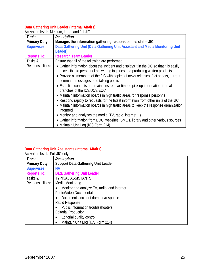#### **Data Gathering Unit Leader (Internal Affairs)**

Activation level: Medium, large, and full JIC

| Topic                | <b>Description</b>                                                                                                                                                                                                                                                                                                                                                                                                                                                                                                                                                                                                                                                                                                                                                                                                                                                                     |
|----------------------|----------------------------------------------------------------------------------------------------------------------------------------------------------------------------------------------------------------------------------------------------------------------------------------------------------------------------------------------------------------------------------------------------------------------------------------------------------------------------------------------------------------------------------------------------------------------------------------------------------------------------------------------------------------------------------------------------------------------------------------------------------------------------------------------------------------------------------------------------------------------------------------|
| <b>Primary Duty:</b> | Manages the information gathering responsibilities of the JIC.                                                                                                                                                                                                                                                                                                                                                                                                                                                                                                                                                                                                                                                                                                                                                                                                                         |
| <b>Supervises:</b>   | Data Gathering Unit (Data Gathering Unit Assistant and Media Monitoring Unit                                                                                                                                                                                                                                                                                                                                                                                                                                                                                                                                                                                                                                                                                                                                                                                                           |
|                      | Leader)                                                                                                                                                                                                                                                                                                                                                                                                                                                                                                                                                                                                                                                                                                                                                                                                                                                                                |
| <b>Reports To:</b>   | <b>Research Team Leader</b>                                                                                                                                                                                                                                                                                                                                                                                                                                                                                                                                                                                                                                                                                                                                                                                                                                                            |
| Tasks &              | Ensure that all of the following are performed:                                                                                                                                                                                                                                                                                                                                                                                                                                                                                                                                                                                                                                                                                                                                                                                                                                        |
| Responsibilities:    | • Gather information about the incident and displays it in the JIC so that it is easily<br>accessible to personnel answering inquiries and producing written products<br>• Provide all members of the JIC with copies of news releases, fact sheets, current<br>command messages, and talking points<br>• Establish contacts and maintains regular time to pick up information from all<br>branches of the ICS/UCS/EOC<br>• Maintain information boards in high traffic areas for response personnel<br>• Respond rapidly to requests for the latest information from other units of the JIC<br>• Maintain information boards in high traffic areas to keep the response organization<br>informed<br>• Monitor and analyzes the media (TV, radio, internet)<br>• Gather information from EOC, websites, SME's, library and other various sources<br>• Maintain Unit Log (ICS Form 214) |

#### **Data Gathering Unit Assistants (Internal Affairs)**

| Activation level: Full JIC only |                                             |
|---------------------------------|---------------------------------------------|
| Topic                           | <b>Description</b>                          |
| <b>Primary Duty:</b>            | <b>Support Data Gathering Unit Leader</b>   |
| <b>Supervises:</b>              | <b>NA</b>                                   |
| <b>Reports To:</b>              | <b>Data Gathering Unit Leader</b>           |
| Tasks &                         | <b>TYPICAL ASSISTANTS</b>                   |
| Responsibilities:               | Media Monitoring                            |
|                                 | Monitor and analyze TV, radio, and internet |
|                                 | Photo/Video Documentation                   |
|                                 | Documents incident damage/response          |
|                                 | Rapid Response                              |
|                                 | Public information troubleshooters          |
|                                 | <b>Editorial Production</b>                 |
|                                 | Editorial quality control                   |
|                                 | Maintain Unit Log (ICS Form 214)            |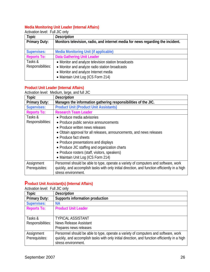#### **Media Monitoring Unit Leader (Internal Affairs)**

| Activation level: Full JIC only |                                                                                 |
|---------------------------------|---------------------------------------------------------------------------------|
| Topic                           | <b>Description</b>                                                              |
| <b>Primary Duty:</b>            | Monitors television, radio, and internet media for news regarding the incident. |
| <b>Supervises:</b>              | <b>Media Monitoring Unit (if applicable)</b>                                    |
| <b>Reports To:</b>              | <b>Data Gathering Unit Leader</b>                                               |
| Tasks &                         | • Monitor and analyze television station broadcasts                             |
| Responsibilities:               | • Monitor and analyze radio station broadcasts                                  |
|                                 | • Monitor and analyze Internet media                                            |
|                                 | • Maintain Unit Log (ICS Form 214)                                              |

# **Product Unit Leader (Internal Affairs)**

Activation level: Medium, large, and full JIC

| Topic                 | <b>Description</b>                                                                            |  |
|-----------------------|-----------------------------------------------------------------------------------------------|--|
| <b>Primary Duty:</b>  | Manages the information gathering responsibilities of the JIC.                                |  |
| <b>Supervises:</b>    | <b>Product Unit (Product Unit Assistants)</b>                                                 |  |
| <b>Reports To:</b>    | <b>Research Team Leader</b>                                                                   |  |
| Tasks &               | • Produce media advisories                                                                    |  |
| Responsibilities:     | • Produce public service announcements                                                        |  |
|                       | • Produce written news releases                                                               |  |
|                       | • Obtain approval for all releases, announcements, and news releases                          |  |
| • Produce fact sheets |                                                                                               |  |
|                       | • Produce presentations and displays                                                          |  |
|                       | • Produce JIC staffing and organization charts                                                |  |
|                       | • Produce rosters (staff, visitors, speakers)                                                 |  |
|                       | • Maintain Unit Log (ICS Form 214)                                                            |  |
| Assignment            | Personnel should be able to type, operate a variety of computers and software, work           |  |
| Prerequisites:        | quickly, and accomplish tasks with only initial direction, and function efficiently in a high |  |
|                       | stress environment.                                                                           |  |

# **Product Unit Assistant(s) (Internal Affairs)**

Activation level: Full JIC only

| Topic                | <b>Description</b>                                                                            |
|----------------------|-----------------------------------------------------------------------------------------------|
| <b>Primary Duty:</b> | Supports information production                                                               |
| <b>Supervises:</b>   | <b>NA</b>                                                                                     |
| <b>Reports To:</b>   | <b>Product Unit Leader</b>                                                                    |
|                      |                                                                                               |
| Tasks &              | <b>TYPICAL ASSISTANT</b>                                                                      |
| Responsibilities:    | <b>News Release Assistant</b>                                                                 |
|                      | Prepares news releases                                                                        |
| Assignment           | Personnel should be able to type, operate a variety of computers and software, work           |
| Prerequisites:       | quickly, and accomplish tasks with only initial direction, and function efficiently in a high |
|                      | stress environment.                                                                           |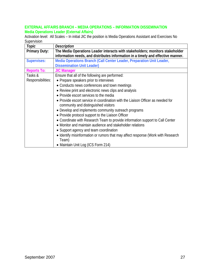#### **EXTERNAL AFFAIRS BRANCH – MEDIA OPERATIONS – INFORMATION DISSEMINATION Media Operations Leader (External Affairs)**

Activation level: All Scales – In initial JIC the position is Media Operations Assistant and Exercises No Supervision

| Topic                | <b>Description</b>                                                               |
|----------------------|----------------------------------------------------------------------------------|
| <b>Primary Duty:</b> | The Media Operations Leader interacts with stakeholders; monitors stakeholder    |
|                      | information needs, and distributes information in a timely and effective manner. |
| <b>Supervises:</b>   | Media Operations Branch (Call Center Leader, Preparation Unit Leader,            |
|                      | <b>Dissemination Unit Leader)</b>                                                |
| <b>Reports To:</b>   | <b>JIC Manager</b>                                                               |
| Tasks &              | Ensure that all of the following are performed:                                  |
| Responsibilities:    | • Prepare speakers prior to interviews                                           |
|                      | • Conducts news conferences and town meetings                                    |
|                      | • Review print and electronic news clips and analysis                            |
|                      | • Provide escort services to the media                                           |
|                      | • Provide escort service in coordination with the Liaison Officer as needed for  |
|                      | community and distinguished visitors                                             |
|                      | • Develop and implements community outreach programs                             |
|                      | • Provide protocol support to the Liaison Officer                                |
|                      | • Coordinate with Research Team to provide information support to Call Center    |
|                      | • Monitor and maintain audience and stakeholder relations                        |
|                      | • Support agency and team coordination                                           |
|                      | • Identify misinformation or rumors that may affect response (Work with Research |
|                      | Team)                                                                            |
|                      | • Maintain Unit Log (ICS Form 214)                                               |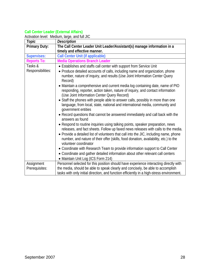#### **Call Center Leader (External Affairs)**

Activation level: Medium, large, and full JIC

| Topic                | <b>Description</b>                                                                                                                                                                                                                                                                                                                                                            |
|----------------------|-------------------------------------------------------------------------------------------------------------------------------------------------------------------------------------------------------------------------------------------------------------------------------------------------------------------------------------------------------------------------------|
| <b>Primary Duty:</b> | The Call Center Leader Unit Leader/Assistant(s) manage information in a                                                                                                                                                                                                                                                                                                       |
|                      | timely and effective manner.                                                                                                                                                                                                                                                                                                                                                  |
| <b>Supervises:</b>   | <b>Call Center Unit (if applicable)</b>                                                                                                                                                                                                                                                                                                                                       |
| <b>Reports To:</b>   | <b>Media Operations Branch Leader</b>                                                                                                                                                                                                                                                                                                                                         |
| Tasks &              | • Establishes and staffs call center with support from Service Unit                                                                                                                                                                                                                                                                                                           |
| Responsibilities:    | • Produce detailed accounts of calls, including name and organization, phone<br>number, nature of inquiry, and results (Use Joint Information Center Query<br>Record)<br>• Maintain a comprehensive and current media log containing date, name of PIO                                                                                                                        |
|                      | responding, reporter, action taken, nature of inquiry, and contact information<br>(Use Joint Information Center Query Record)                                                                                                                                                                                                                                                 |
|                      | • Staff the phones with people able to answer calls, possibly in more than one<br>language, from local, state, national and international media, community and<br>government entities                                                                                                                                                                                         |
|                      | • Record questions that cannot be answered immediately and call back with the<br>answers as found                                                                                                                                                                                                                                                                             |
|                      | • Respond to routine inquiries using talking points, speaker preparation, news<br>releases, and fact sheets. Follow up faxed news releases with calls to the media.<br>• Provide a detailed list of volunteers that call into the JIC, including name, phone<br>number, and nature of their offer (skills, food donation, availability, etc.) to the<br>volunteer coordinator |
|                      | • Coordinate with Research Team to provide information support to Call Center                                                                                                                                                                                                                                                                                                 |
|                      | • Coordinate and gather detailed information about other relevant call centers<br>• Maintain Unit Log (ICS Form 214)                                                                                                                                                                                                                                                          |
| Assignment           | Personnel selected for this position should have experience interacting directly with                                                                                                                                                                                                                                                                                         |
| Prerequisites:       | the media, should be able to speak clearly and concisely, be able to accomplish<br>tasks with only initial direction, and function efficiently in a high-stress environment.                                                                                                                                                                                                  |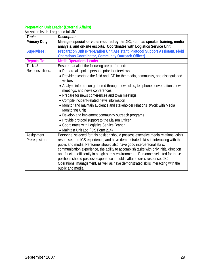#### **Preparation Unit Leader (External Affairs)**

| Activation level: Large and full JIC |                                                                                                                                                          |
|--------------------------------------|----------------------------------------------------------------------------------------------------------------------------------------------------------|
| Topic                                | <b>Description</b>                                                                                                                                       |
| <b>Primary Duty:</b>                 | Manages special services required by the JIC, such as speaker training, media<br>analysis, and on-site escorts. Coordinates with Logistics Service Unit. |
| <b>Supervises:</b>                   | Preparation Unit (Preparation Unit Assistant, Protocol Support Assistant, Field<br><b>Operations Coordinator, Community Outreach Officer)</b>            |
| <b>Reports To:</b>                   | <b>Media Operations Leader</b>                                                                                                                           |
| Tasks &                              | Ensure that all of the following are performed:                                                                                                          |
| Responsibilities:                    | • Prepare all spokespersons prior to interviews                                                                                                          |
|                                      | • Provide escorts to the field and ICP for the media, community, and distinguished<br>visitors                                                           |
|                                      | • Analyze information gathered through news clips, telephone conversations, town<br>meetings, and news conferences                                       |
|                                      | • Prepare for news conferences and town meetings                                                                                                         |
|                                      | • Compile incident-related news information                                                                                                              |
|                                      | • Monitor and maintain audience and stakeholder relations (Work with Media<br>Monitoring Unit)                                                           |
|                                      | • Develop and implement community outreach programs                                                                                                      |
|                                      | • Provide protocol support to the Liaison Officer                                                                                                        |
|                                      | • Coordinates with Logistics Service Branch                                                                                                              |
|                                      | • Maintain Unit Log (ICS Form 214)                                                                                                                       |
| Assignment                           | Personnel selected for this position should possess extensive media relations, crisis                                                                    |
| Prerequisites:                       | response, and ICS experience, and have demonstrated skills in interacting with the                                                                       |
|                                      | public and media. Personnel should also have good interpersonal skills,                                                                                  |
|                                      | communication experience, the ability to accomplish tasks with only initial direction                                                                    |
|                                      | and function efficiently in a high stress environment. Personnel selected for these                                                                      |
|                                      | positions should possess experience in public affairs, crisis response, JIC                                                                              |
|                                      | Operations, management, as well as have demonstrated skills interacting with the<br>public and media.                                                    |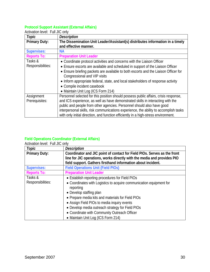#### **Protocol Support Assistant (External Affairs)**

| Topic                | <b>Description</b>                                                                    |
|----------------------|---------------------------------------------------------------------------------------|
| <b>Primary Duty:</b> | The Dissemination Unit Leader/Assistant(s) distributes information in a timely        |
|                      | and effective manner.                                                                 |
| <b>Supervises:</b>   | <b>NA</b>                                                                             |
| <b>Reports To:</b>   | <b>Preparation Unit Leader</b>                                                        |
| Tasks &              | • Coordinate protocol activities and concerns with the Liaison Officer                |
| Responsibilities:    | • Ensure escorts are available and scheduled in support of the Liaison Officer        |
|                      | • Ensure briefing packets are available to both escorts and the Liaison Officer for   |
|                      | Congressional and VIP visits                                                          |
|                      | • Inform appropriate federal, state, and local stakeholders of response activity      |
|                      | • Compile incident casebook                                                           |
|                      | • Maintain Unit Log (ICS Form 214)                                                    |
| Assignment           | Personnel selected for this position should possess public affairs, crisis response,  |
| Prerequisites:       | and ICS experience, as well as have demonstrated skills in interacting with the       |
|                      | public and people from other agencies. Personnel should also have good                |
|                      | interpersonal skills, risk communications experience, the ability to accomplish tasks |
|                      | with only initial direction, and function efficiently in a high-stress environment.   |

Activation level: Full JIC only

#### **Field Operations Coordinator (External Affairs)**

| Topic                        | <b>Description</b>                                                                                                                                                                                                                                                                                                                                                                                           |
|------------------------------|--------------------------------------------------------------------------------------------------------------------------------------------------------------------------------------------------------------------------------------------------------------------------------------------------------------------------------------------------------------------------------------------------------------|
| <b>Primary Duty:</b>         | Coordinator and JIC point of contact for Field PIOs. Serves as the front<br>line for JIC operations, works directly with the media and provides PIO<br>field support. Gathers firsthand information about incident.                                                                                                                                                                                          |
| <b>Supervises:</b>           | <b>Field Operations Unit (Field PIOs)</b>                                                                                                                                                                                                                                                                                                                                                                    |
| <b>Reports To:</b>           | <b>Preparation Unit Leader</b>                                                                                                                                                                                                                                                                                                                                                                               |
| Tasks &<br>Responsibilities: | • Establish reporting procedures for Field PIOs<br>• Coordinates with Logistics to acquire communication equipment for<br>reporting<br>• Develop staffing plan<br>• Prepare media kits and materials for Field PIOs<br>• Assign Field PIOs to media inquiry events<br>• Develop media outreach strategy for Field PIOs<br>• Coordinate with Community Outreach Officer<br>• Maintain Unit Log (ICS Form 214) |

Activation level: Full JIC only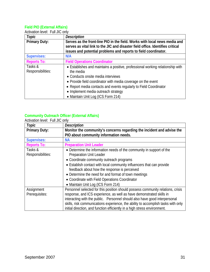#### **Field PIO (External Affairs)**

| Topic                | <b>Description</b>                                                             |
|----------------------|--------------------------------------------------------------------------------|
| <b>Primary Duty:</b> | Serves as the front-line PIO in the field. Works with local news media and     |
|                      | serves as vital link to the JIC and disaster field office. Identifies critical |
|                      | issues and potential problems and reports to field coordinator.                |
| <b>Supervises:</b>   | N/A                                                                            |
| <b>Reports To:</b>   | <b>Field Operations Coordinator</b>                                            |
| Tasks &              | • Establishes and maintains a positive, professional working relationship with |
| Responsibilities:    | the media                                                                      |
|                      | • Conducts onsite media interviews                                             |
|                      | • Provide field coordinator with media coverage on the event                   |
|                      | • Report media contacts and events regularly to Field Coordinator              |
|                      | • Implement media outreach strategy                                            |
|                      | • Maintain Unit Log (ICS Form 214)                                             |

# Activation level: Full JIC only

#### **Community Outreach Officer (External Affairs)**

Activation level: Full JIC only

| Topic                | <b>Description</b>                                                                |
|----------------------|-----------------------------------------------------------------------------------|
| <b>Primary Duty:</b> | Monitor the community's concerns regarding the incident and advise the            |
|                      | PIO about community information needs.                                            |
| <b>Supervises:</b>   | <b>NA</b>                                                                         |
| <b>Reports To:</b>   | <b>Preparation Unit Leader</b>                                                    |
| Tasks &              | • Determine the information needs of the community in support of the              |
| Responsibilities:    | Preparation Unit Leader                                                           |
|                      | • Coordinate community outreach programs                                          |
|                      | • Establish contact with local community influencers that can provide             |
|                      | feedback about how the response is perceived                                      |
|                      | • Determine the need for and format of town meetings                              |
|                      | • Coordinate with Field Operations Coordinator                                    |
|                      | • Maintain Unit Log (ICS Form 214)                                                |
| Assignment           | Personnel selected for this position should possess community relations, crisis   |
| Prerequisites:       | response, and ICS experience, as well as have demonstrated skills in              |
|                      | interacting with the public. Personnel should also have good interpersonal        |
|                      | skills, risk communications experience, the ability to accomplish tasks with only |
|                      | initial direction, and function efficiently in a high stress environment.         |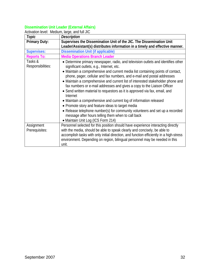#### **Dissemination Unit Leader (External Affairs)**

Activation level: Medium, large, and full JIC

| Topic                        | <b>Description</b>                                                                                                                                            |
|------------------------------|---------------------------------------------------------------------------------------------------------------------------------------------------------------|
| <b>Primary Duty:</b>         | Supervises the Dissemination Unit of the JIC. The Dissemination Unit                                                                                          |
|                              | Leader/Assistant(s) distributes information in a timely and effective manner.                                                                                 |
| <b>Supervises:</b>           | <b>Dissemination Unit (if applicable)</b>                                                                                                                     |
| <b>Reports To:</b>           | <b>Media Operations Branch Leader</b>                                                                                                                         |
| Tasks &<br>Responsibilities: | • Determine primary newspaper, radio, and television outlets and identifies other<br>significant outlets, e.g., Internet, etc.                                |
|                              | • Maintain a comprehensive and current media list containing points of contact,<br>phone, pager, cellular and fax numbers, and e-mail and postal addresses    |
|                              | • Maintain a comprehensive and current list of interested stakeholder phone and<br>fax numbers or e-mail addresses and gives a copy to the Liaison Officer    |
|                              | • Send written material to requestors as it is approved via fax, email, and<br>Internet                                                                       |
|                              | • Maintain a comprehensive and current log of information released<br>• Promote story and feature ideas to target media                                       |
|                              | • Release telephone number(s) for community volunteers and set up a recorded<br>message after hours telling them when to call back                            |
|                              | • Maintain Unit Log (ICS Form 214)                                                                                                                            |
| Assignment<br>Prerequisites: | Personnel selected for this position should have experience interacting directly<br>with the media, should be able to speak clearly and concisely, be able to |
|                              | accomplish tasks with only initial direction, and function efficiently in a high-stress                                                                       |
|                              | environment. Depending on region, bilingual personnel may be needed in this<br>unit.                                                                          |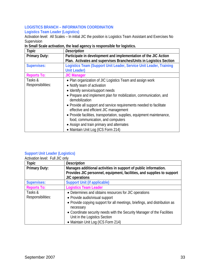#### **LOGISTICS BRANCH – INFORMATION COORDINATION Logistics Team Leader (Logistics)**

Activation level: All Scales – In initial JIC the position is Logistics Team Assistant and Exercises No Supervision

#### **In Small Scale activation, the lead agency is responsible for logistics.**

| Topic                | <b>Description</b>                                                                                            |
|----------------------|---------------------------------------------------------------------------------------------------------------|
| <b>Primary Duty:</b> | Participate in development and implementation of the JIC Action                                               |
|                      | Plan. Activates and supervises Branches/Units in Logistics Section                                            |
| <b>Supervises:</b>   | Logistics Team (Support Unit Leader, Service Unit Leader, Training                                            |
|                      | <b>Unit Leader)</b>                                                                                           |
| <b>Reports To:</b>   | <b>JIC Manager</b>                                                                                            |
| Tasks &              | • Plan organization of JIC Logistics Team and assign work                                                     |
| Responsibilities:    | • Notify team of activation                                                                                   |
|                      | • Identify service/support needs                                                                              |
|                      | • Prepare and implement plan for mobilization, communication, and<br>demobilization                           |
|                      | • Provide all support and service requirements needed to facilitate<br>effective and efficient JIC management |
|                      | • Provide facilities, transportation, supplies, equipment maintenance,<br>food, communication, and computers  |
|                      | • Assign and train primary and alternates                                                                     |
|                      | • Maintain Unit Log (ICS Form 214)                                                                            |

# **Support Unit Leader (Logistics)**

Activation level: Full JIC only

| Topic                | <b>Description</b>                                                                                       |
|----------------------|----------------------------------------------------------------------------------------------------------|
| <b>Primary Duty:</b> | Manages additional activities in support of public information.                                          |
|                      | Provides JIC personnel, equipment, facilities, and supplies to support                                   |
|                      | JIC operations                                                                                           |
| <b>Supervises:</b>   | <b>Support Unit (if applicable)</b>                                                                      |
| <b>Reports To:</b>   | <b>Logistics Team Leader</b>                                                                             |
| Tasks &              | • Determines and obtains resources for JIC operations                                                    |
| Responsibilities:    | • Provide audio/visual support                                                                           |
|                      | • Provide copying support for all meetings, briefings, and distribution as<br>necessary                  |
|                      | • Coordinate security needs with the Security Manager of the Facilities<br>Unit in the Logistics Section |
|                      | • Maintain Unit Log (ICS Form 214)                                                                       |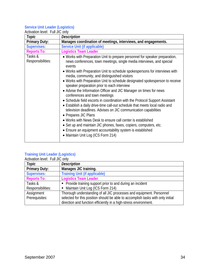#### **Service Unit Leader (Logistics)**

| Activation level: Full JIC only |                                                                                                                                                                                                                                                                                                                                                                                                                                                                                                                                                                                                                                                                                                                                                                                                                                                                                                                                                                                                                                       |
|---------------------------------|---------------------------------------------------------------------------------------------------------------------------------------------------------------------------------------------------------------------------------------------------------------------------------------------------------------------------------------------------------------------------------------------------------------------------------------------------------------------------------------------------------------------------------------------------------------------------------------------------------------------------------------------------------------------------------------------------------------------------------------------------------------------------------------------------------------------------------------------------------------------------------------------------------------------------------------------------------------------------------------------------------------------------------------|
| Topic                           | <b>Description</b>                                                                                                                                                                                                                                                                                                                                                                                                                                                                                                                                                                                                                                                                                                                                                                                                                                                                                                                                                                                                                    |
| <b>Primary Duty:</b>            | Manages coordination of meetings, interviews, and engagements.                                                                                                                                                                                                                                                                                                                                                                                                                                                                                                                                                                                                                                                                                                                                                                                                                                                                                                                                                                        |
| <b>Supervises:</b>              | <b>Service Unit (if applicable)</b>                                                                                                                                                                                                                                                                                                                                                                                                                                                                                                                                                                                                                                                                                                                                                                                                                                                                                                                                                                                                   |
| <b>Reports To:</b>              | <b>Logistics Team Leader</b>                                                                                                                                                                                                                                                                                                                                                                                                                                                                                                                                                                                                                                                                                                                                                                                                                                                                                                                                                                                                          |
| Tasks &<br>Responsibilities:    | • Works with Preparation Unit to prepare personnel for speaker preparation,<br>news conferences, town meetings, single media interviews, and special<br>events<br>• Works with Preparation Unit to schedule spokespersons for interviews with<br>media, community, and distinguished visitors<br>• Works with Preparation Unit to schedule designated spokesperson to receive<br>speaker preparation prior to each interview<br>• Advise the Information Officer and JIC Manager on times for news<br>conferences and town meetings<br>• Schedule field escorts in coordination with the Protocol Support Assistant<br>• Establish a daily drive-time call-out schedule that meets local radio and<br>television deadlines. Advises on JIC communication capabilities<br>• Prepares JIC Plans<br>• Works with News Desk to ensure call center is established<br>• Set up and maintain JIC phones, faxes, copiers, computers, etc.<br>• Ensure an equipment accountability system is established<br>• Maintain Unit Log (ICS Form 214) |

#### **Training Unit Leader (Logistics)**

| Activation level: Full JIC only |                                                                                 |
|---------------------------------|---------------------------------------------------------------------------------|
| Topic                           | <b>Description</b>                                                              |
| <b>Primary Duty:</b>            | Manages JIC training.                                                           |
| <b>Supervises:</b>              | <b>Training Unit (if applicable)</b>                                            |
| <b>Reports To:</b>              | <b>Logistics Team Leader</b>                                                    |
| Tasks &                         | • Provide training support prior to and during an incident                      |
| Responsibilities:               | Maintain Unit Log (ICS Form 214)                                                |
| Assignment                      | Thorough understanding of all JIC processes and equipment. Personnel            |
| Prerequisites:                  | selected for this position should be able to accomplish tasks with only initial |
|                                 | direction and function efficiently in a high-stress environment.                |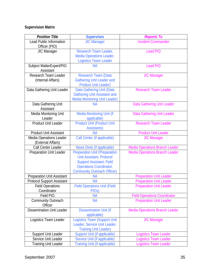## **Supervision Matrix**

| <b>Position Title</b>                       | <b>Supervises</b>                                       | <b>Reports To</b>                     |
|---------------------------------------------|---------------------------------------------------------|---------------------------------------|
| <b>Lead Public Information</b>              | <b>JIC Manager</b>                                      | <b>Incident Commander</b>             |
| Officer (PIO)                               |                                                         |                                       |
| <b>JIC Manager</b>                          | Research Team Leader,                                   | <b>Lead PIO</b>                       |
|                                             | <b>Media Operations Leader,</b>                         |                                       |
|                                             | <b>Logistics Team Leader</b>                            |                                       |
| Subject MatterExpert/PIO                    | <b>NA</b>                                               | <b>Lead PIO</b>                       |
| Assistant                                   |                                                         |                                       |
| Research Team Leader<br>(Internal Affairs)  | Research Team (Data<br><b>Gathering Unit Leader and</b> | <b>JIC Manager</b>                    |
|                                             | <b>Product Unit Leader)</b>                             |                                       |
| Data Gathering Unit Leader                  | Data Gathering Unit (Data                               | <b>Research Team Leader</b>           |
|                                             | <b>Gathering Unit Assistant and</b>                     |                                       |
|                                             | <b>Media Monitoring Unit Leader)</b>                    |                                       |
| Data Gathering Unit                         | <b>NA</b>                                               | Data Gathering Unit Leader            |
| Assistant                                   |                                                         |                                       |
| Media Monitoring Unit                       | Media Monitoring Unit (if                               | Data Gathering Unit Leader            |
| Leader                                      | applicable)                                             |                                       |
| <b>Product Unit Leader</b>                  | <b>Product Unit (Product Unit</b>                       | <b>Research Team Leader</b>           |
|                                             | <b>Assistants)</b>                                      |                                       |
| <b>Product Unit Assistant</b>               | <b>NA</b>                                               | <b>Product Unit Leader</b>            |
| Media Operations Leader                     | Call Center (if applicable)                             | <b>JIC Manager</b>                    |
| (External Affairs)<br>Call Center Leader    | News Desk (if applicable)                               | <b>Media Operations Branch Leader</b> |
| Preparation Unit Leader                     | <b>Preparation Unit (Preparation</b>                    | <b>Media Operations Branch Leader</b> |
|                                             | Unit Assistant, Protocol                                |                                       |
|                                             | <b>Support Assistant, Field</b>                         |                                       |
|                                             | <b>Operations Coordinator,</b>                          |                                       |
|                                             | <b>Community Outreach Officer)</b>                      |                                       |
| <b>Preparation Unit Assistant</b>           | <b>NA</b>                                               | <b>Preparation Unit Leader</b>        |
| <b>Protocol Support Assistant</b>           | <b>NA</b>                                               | <b>Preparation Unit Leader</b>        |
| <b>Field Operations</b>                     | <b>Field Operations Unit (Field</b>                     | <b>Preparation Unit Leader</b>        |
| Coordinator                                 | PIO <sub>s</sub> )                                      |                                       |
| Field PIO                                   | <b>NA</b>                                               | <b>Field Operations Coordinator</b>   |
| <b>Community Outreach</b>                   | <b>NA</b>                                               | <b>Preparation Unit Leader</b>        |
| Officer<br><b>Dissemination Unit Leader</b> |                                                         |                                       |
|                                             | <b>Dissemination Unit (if</b><br>applicable)            | <b>Media Operations Branch Leader</b> |
| Logistics Team Leader                       | Logistics Team (Support Unit                            | <b>JIC Manager</b>                    |
|                                             | Leader, Service Unit Leader,                            |                                       |
|                                             | <b>Training Unit Leader)</b>                            |                                       |
| Support Unit Leader                         | Support Unit (if applicable)                            | Logistics Team Leader                 |
| Service Unit Leader                         | Service Unit (if applicable)                            | Logistics Team Leader                 |
| <b>Training Unit Leader</b>                 | <b>Training Unit (if applicable)</b>                    | Logistics Team Leader                 |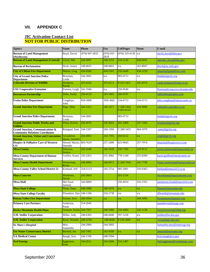### **VII. APPENDIX C**

#### **JIC Activation Contact List NOT FOR PUBLIC DISTRIBUTION**

| <b>Agency</b>                                                                         | <b>Name</b>                          | <b>Phone</b>   | Fax                  | <b>Cell/Pager</b>          | Home     | E-mail                          |
|---------------------------------------------------------------------------------------|--------------------------------------|----------------|----------------------|----------------------------|----------|---------------------------------|
| <b>Bureau of Land Management</b><br>(Northwest)                                       | Boyd, David                          | (970) 947-2832 | $(970)$ 947-<br>2829 | $(970)$ 319-4130           | n/a      | david_boyd@blm.gov              |
| <b>Bureau of Land Management (Central)</b>                                            | Lloyd, Mel                           | 244-3097       | 244-3152             | 210-2126                   | 858-9655 | melodie lloyd@blm.gov           |
| <b>Bureau of Reclamation</b>                                                          | Hock, Justyn                         | 248-0625       | 248-0601             | n/a                        | 263-8047 | jhock@uc.usbr.gov               |
| <b>City of Clifton Fire Department</b>                                                | Martin, Greg                         | 434-9500       | 434-5347             | 250-5649                   | 434-1229 | gmartin@gmmihvac.com            |
| <b>City of Grand Junction Police</b><br><b>Department</b>                             | Bowman,<br>Linda                     | 244-3601       | n/a                  | 985-0713                   | n/a      | lindab@gjcity.org               |
| <b>Colorado Division of Wildlife</b>                                                  | Hampton,<br>Randy                    | 255-6162       | 255-6111             | P:255-5421                 | 241-8374 | randy.hampton@state.co.us       |
| <b>CSU Cooperative Extension</b>                                                      | Fortson, Leigh                       | 241-3346       | n/a                  | 250-9540                   | n/a      | lfortson@coop.ext.colostate.edu |
| <b>Downtown Partnership</b>                                                           | Dirks, Kathy                         | 256-4133       | 243-1865             | 260-0747                   |          | kathydirks@yahoo.com            |
| <b>Fruita Police Department</b>                                                       | Coughran,<br>John                    | 858-3008       | 858-3665             | $234 - 6713$               | 234-6713 | john.coughran@mesacounty.us     |
| <b>Grand Junction Fire Department</b>                                                 | Page, Mike                           | 244-1413       | 244-1471             | $C:208-3442$<br>P:263-6123 | 434-9068 | mikep@ci.grandjct.co.us         |
| <b>Grand Junction Police Department</b>                                               | Bowman,<br>Linda                     | 244-3601       |                      | 985-0713                   |          | lindab@gjcity.org               |
| <b>Grand Junction Public Works and</b><br><b>Utilities</b>                            | Winn, Kristin                        | 256-4076       | 256-4022             | 201-1069                   | 257-7203 | kristinw@gjcity.org             |
| <b>Grand Junction, Communications &amp;</b><br><b>Community Relations Coordinator</b> | Rainguet, Sam                        | 244-1507       | 244-1456             | C:260-5431                 | 464-1079 | samr@gjcity.org                 |
| <b>Grand Junction, Visitor and Convention</b><br><b>Bureau</b>                        | Grossheim-<br>Harris, Jennifer       | 256-4063       | 243-7393             | 260-0152                   | n/a      | jergh@gjcity.org                |
| <b>Hospice &amp; Palliative Care of Western</b><br>$\bf CO$                           | Moretti Martin, 683-7619<br>Danielle |                | 257-2400             | 623-9643                   | 257-7974 | dmartin@hospicewco.com          |
| <b>Mesa County</b>                                                                    | Peterson,<br>Jessica                 | 244-1640       | 244-1639             | 250-7320                   | 243-9112 | jessica.peterson@mesacounty.us  |
| <b>Mesa County Department of Human</b><br><b>Services</b>                             | Guillen, Karen                       | 256-2453       | 255-3682             | 778-1249                   | 255-8390 | karen.guillen@mesacounty.us     |
| <b>Mesa County Health Department</b>                                                  | Westerman,<br>Kristy                 | 248-6964       | 248-6972             | $C:260-7042$               | 241-7799 | kristy.westerman@mesacounty.us  |
| <b>Mesa County Valley School District 51</b>                                          | Kirtland, Jeff                       | 254-5113       | 245-2714             | 985-5901                   | 256-9363 | kirtland@mesa.k12.co.us         |
| <b>Mays Concrete</b>                                                                  | Workman,<br>David                    | 243-5669       |                      | 201-2134                   |          | dworkman@maysconcrete.com       |
| <b>Mesa Mall</b>                                                                      | McCloud,<br>Jammie                   | 242-0009       |                      | 250-4914                   | 243-2763 | jammiemccloud@macerich.com      |
| <b>Mesa State College</b>                                                             | Nunn, Dana                           | 248-1868       | 248-1076             | n/a                        | n/a      | Dnunn@mesastate.edu             |
| <b>Mesa State College Faculty</b>                                                     | Flenniken, Dan 248-1184              |                | 254-1730             | n/a                        | n/a      | dflennik@mesastate.edu          |
| <b>Plateau Valley Fire Department</b>                                                 | Farmer, Ken                          | 268-5094       | n/a                  | n/a                        | 268-5094 | Kenfarmster@gmail.com           |
| <b>Primary Care Partners</b>                                                          | Anderson,<br>Paula                   | 254-2645       |                      |                            |          | paanderson@pcpgj.com            |
| <b>Rocky Mountain Health Plans</b>                                                    | Arnesen, Kayla 244-7967              |                | 248-5080             | 250-4060                   | 242-1138 | KaylaArnesen@rmhp.org           |
| <b>S.M. Stoller Corporation</b>                                                       | Miller, Judy                         | 248-6363       | 248-6040             | 397-3128                   | n/a      | jmiller@lm.doe.gov              |
| <b>S.M. Stoller Corporation</b>                                                       | Ryan, Wendee                         | 248-6765       | 248-6040             | P:256-5082                 | n/a      | wryan@gjo.doe.gov               |
| <b>St. Mary's Hospital</b>                                                            | Moe.<br>Samantha                     | 244-2000       | 244-2092             |                            |          | Samantha.moe@stmarygj.org       |
| <b>Ute Water Conservancy District</b>                                                 | Burtard, Joe                         | 242-7491       | 242-9189             | n/a                        | n/a      | jburtard@utewater.org           |
| <b>VA Medical Center</b>                                                              | Baugh, Kris                          | 244-1336       | 248-5594             |                            |          | Kris.baugh@va.gov               |
| <b>Xcel Energy</b>                                                                    | Eggleston,<br>Fred                   | 244-2611       | 244-2606             | 216-1487                   |          | fred.eggleston@xcelenergy.com   |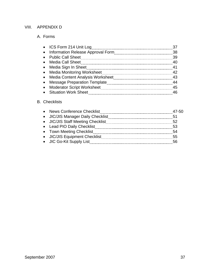### VIII. APPENDIX D

## A. Forms

| ICS Form 214 Unit Log        |     |
|------------------------------|-----|
|                              |     |
|                              | 39  |
|                              |     |
|                              |     |
| • Media Monitoring Worksheet |     |
|                              |     |
|                              | -44 |
|                              | 45  |
|                              | 46  |

## B. Checklists

|                                   | 47-50 |
|-----------------------------------|-------|
| • JIC/JIS Manager Daily Checklist | 51    |
| • JIC/JIS Staff Meeting Checklist | 52    |
| • Lead PIO Daily Checklist        | 53    |
| • Town Meeting Checklist          | 54    |
| • JIC/JIS Equipment Checklist     | 55    |
| • JIC Go-Kit Supply List          | 56    |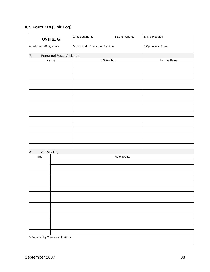## **ICS Form 214 (Unit Log)**

| <b>UNIT LOG</b>                    |  | 2. Date Prepared<br>1. Incident Name |              | 3. Time Prepared      |  |
|------------------------------------|--|--------------------------------------|--------------|-----------------------|--|
| 4. Unit Name/Designators           |  | 5. Unit Leader (Name and Position)   |              | 6. Operational Period |  |
| 7.<br>Personnel Roster Assigned    |  |                                      |              |                       |  |
| Name                               |  | <b>ICS Position</b>                  |              | Home Base             |  |
|                                    |  |                                      |              |                       |  |
|                                    |  |                                      |              |                       |  |
|                                    |  |                                      |              |                       |  |
|                                    |  |                                      |              |                       |  |
|                                    |  |                                      |              |                       |  |
|                                    |  |                                      |              |                       |  |
|                                    |  |                                      |              |                       |  |
|                                    |  |                                      |              |                       |  |
|                                    |  |                                      |              |                       |  |
|                                    |  |                                      |              |                       |  |
|                                    |  |                                      |              |                       |  |
|                                    |  |                                      |              |                       |  |
|                                    |  |                                      |              |                       |  |
|                                    |  |                                      |              |                       |  |
|                                    |  |                                      |              |                       |  |
| 8.<br><b>Activity Log</b>          |  |                                      |              |                       |  |
| Time                               |  |                                      | Major Events |                       |  |
|                                    |  |                                      |              |                       |  |
|                                    |  |                                      |              |                       |  |
|                                    |  |                                      |              |                       |  |
|                                    |  |                                      |              |                       |  |
|                                    |  |                                      |              |                       |  |
|                                    |  |                                      |              |                       |  |
|                                    |  |                                      |              |                       |  |
|                                    |  |                                      |              |                       |  |
|                                    |  |                                      |              |                       |  |
|                                    |  |                                      |              |                       |  |
|                                    |  |                                      |              |                       |  |
|                                    |  |                                      |              |                       |  |
|                                    |  |                                      |              |                       |  |
| 9. Prepared by (Name and Position) |  |                                      |              |                       |  |
|                                    |  |                                      |              |                       |  |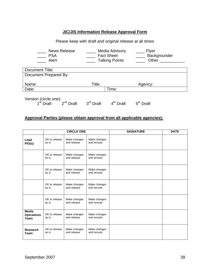## **JIC/JIS Information Release Approval Form**

| Please keep with draft and original release at all times                                                                                     |                                      |             |  |  |  |
|----------------------------------------------------------------------------------------------------------------------------------------------|--------------------------------------|-------------|--|--|--|
| <b>News Release</b><br>Media Advisory<br>Flyer<br><b>Fact Sheet</b><br>Backgrounder<br><b>PSA</b><br>Alert<br><b>Talking Points</b><br>Other |                                      |             |  |  |  |
| Document Title:                                                                                                                              |                                      |             |  |  |  |
| Document Prepared By:                                                                                                                        |                                      |             |  |  |  |
| Name:                                                                                                                                        | Title:                               | Agency:     |  |  |  |
| Date:                                                                                                                                        | Time:                                |             |  |  |  |
| Version (circle one):<br>$2^{nd}$ Draft<br>Draft                                                                                             | $3rd$ Draft<br>4 <sup>th</sup> Draft | $5th$ Draft |  |  |  |

## **Approval Parties (please obtain approval from all applicable agencies):**

|                                                  |                        | <b>CIRCLE ONE</b>           |                             | <b>SIGNATURE</b> | <b>DATE</b> |
|--------------------------------------------------|------------------------|-----------------------------|-----------------------------|------------------|-------------|
| Lead<br>PIO(s)                                   | OK to release<br>as is | Make changes<br>and release | Make changes<br>and reroute |                  |             |
|                                                  | OK to release<br>as is | Make changes<br>and release | Make changes<br>and reroute |                  |             |
|                                                  | OK to release<br>as is | Make changes<br>and release | Make changes<br>and reroute |                  |             |
|                                                  | OK to release<br>as is | Make changes<br>and release | Make changes<br>and reroute |                  |             |
|                                                  | OK to release<br>as is | Make changes<br>and release | Make changes<br>and reroute |                  |             |
| <b>Media</b><br><b>Operations</b><br><b>Team</b> | OK to release<br>as is | Make changes<br>and release | Make changes<br>and reroute |                  |             |
| <b>Research</b><br><b>Team</b>                   | OK to release<br>as is | Make changes<br>and release | Make changes<br>and reroute |                  |             |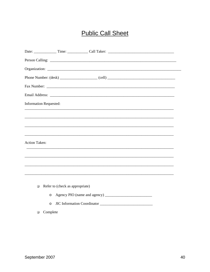# **Public Call Sheet**

|                      | <b>Information Requested:</b>   |
|----------------------|---------------------------------|
|                      |                                 |
|                      |                                 |
|                      |                                 |
| <b>Action Taken:</b> |                                 |
|                      |                                 |
|                      |                                 |
|                      |                                 |
|                      |                                 |
| $\Box$               | Refer to (check as appropriate) |
|                      | $\circ$                         |
|                      | $\circ$                         |
| $\Box$               | Complete                        |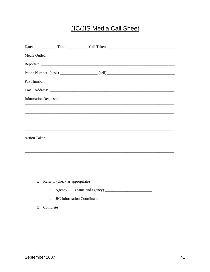# **JIC/JIS Media Call Sheet**

| Information Requested: |  |  |
|------------------------|--|--|
|                        |  |  |
|                        |  |  |
|                        |  |  |
| <b>Action Taken:</b>   |  |  |
|                        |  |  |
|                        |  |  |
|                        |  |  |
|                        |  |  |
|                        |  |  |

- $\Box$  Refer to (check as appropriate)
	-
	- o JIC Information Coordinator
- $\Box$  Complete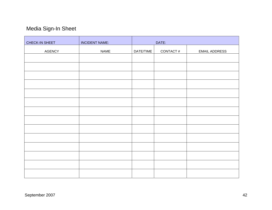# Media Sign-In Sheet

| CHECK-IN SHEET | <b>INCIDENT NAME:</b> |           | DATE:    |                      |
|----------------|-----------------------|-----------|----------|----------------------|
| <b>AGENCY</b>  | <b>NAME</b>           | DATE/TIME | CONTACT# | <b>EMAIL ADDRESS</b> |
|                |                       |           |          |                      |
|                |                       |           |          |                      |
|                |                       |           |          |                      |
|                |                       |           |          |                      |
|                |                       |           |          |                      |
|                |                       |           |          |                      |
|                |                       |           |          |                      |
|                |                       |           |          |                      |
|                |                       |           |          |                      |
|                |                       |           |          |                      |
|                |                       |           |          |                      |
|                |                       |           |          |                      |
|                |                       |           |          |                      |
|                |                       |           |          |                      |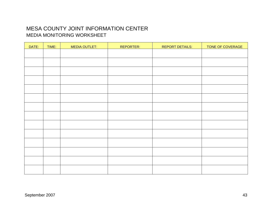## MESA COUNTY JOINT INFORMATION CENTER MEDIA MONITORING WORKSHEET

| DATE: | TIME: | <b>MEDIA OUTLET:</b> | REPORTER: | <b>REPORT DETAILS:</b> | TONE OF COVERAGE |
|-------|-------|----------------------|-----------|------------------------|------------------|
|       |       |                      |           |                        |                  |
|       |       |                      |           |                        |                  |
|       |       |                      |           |                        |                  |
|       |       |                      |           |                        |                  |
|       |       |                      |           |                        |                  |
|       |       |                      |           |                        |                  |
|       |       |                      |           |                        |                  |
|       |       |                      |           |                        |                  |
|       |       |                      |           |                        |                  |
|       |       |                      |           |                        |                  |
|       |       |                      |           |                        |                  |
|       |       |                      |           |                        |                  |
|       |       |                      |           |                        |                  |
|       |       |                      |           |                        |                  |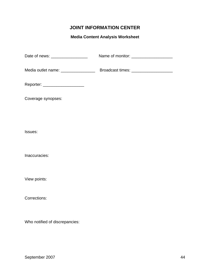## **JOINT INFORMATION CENTER**

## **Media Content Analysis Worksheet**

| Date of news: __________________ |  |
|----------------------------------|--|
|                                  |  |
| Reporter: ___________________    |  |
| Coverage synopses:               |  |
|                                  |  |
| Issues:                          |  |
| Inaccuracies:                    |  |
| View points:                     |  |
| Corrections:                     |  |
|                                  |  |

Who notified of discrepancies: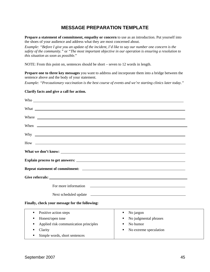## **MESSAGE PREPARATION TEMPLATE**

**Prepare a statement of commitment, empathy or concern** to use as an introduction. Put yourself into the shoes of your audience and address what they are most concerned about.

*Example: "Before I give you an update of the incident, I'd like to say our number one concern is the safety of the community."* or *"The most important objective in our operation is ensuring a resolution to this situation as soon as possible.*"

NOTE: From this point on, sentences should be short – seven to 12 words in length.

**Prepare one to three key messages** you want to address and incorporate them into a bridge between the sentence above and the body of your statement.

*Example: "Precautionary vaccination is the best course of events and we're starting clinics later today."* 

#### **Clarify facts and give a call for action.**

| Who experience and the second service of the service of the service of the service of the service of the service of the service of the service of the service of the service of the service of the service of the service of t |                                          |  |  |  |  |  |  |
|--------------------------------------------------------------------------------------------------------------------------------------------------------------------------------------------------------------------------------|------------------------------------------|--|--|--|--|--|--|
|                                                                                                                                                                                                                                |                                          |  |  |  |  |  |  |
|                                                                                                                                                                                                                                |                                          |  |  |  |  |  |  |
|                                                                                                                                                                                                                                |                                          |  |  |  |  |  |  |
| Why experience and the second contract of the second contract of the second contract of the second contract of the second contract of the second contract of the second contract of the second contract of the second contract |                                          |  |  |  |  |  |  |
|                                                                                                                                                                                                                                |                                          |  |  |  |  |  |  |
|                                                                                                                                                                                                                                |                                          |  |  |  |  |  |  |
|                                                                                                                                                                                                                                |                                          |  |  |  |  |  |  |
|                                                                                                                                                                                                                                |                                          |  |  |  |  |  |  |
|                                                                                                                                                                                                                                |                                          |  |  |  |  |  |  |
|                                                                                                                                                                                                                                |                                          |  |  |  |  |  |  |
|                                                                                                                                                                                                                                |                                          |  |  |  |  |  |  |
| Finally, check your message for the following:                                                                                                                                                                                 |                                          |  |  |  |  |  |  |
| Positive action steps<br>$\blacksquare$                                                                                                                                                                                        | No jargon<br>٠                           |  |  |  |  |  |  |
| Honest/open tone<br>٠                                                                                                                                                                                                          | No judgmental phrases<br>٠               |  |  |  |  |  |  |
| Applied risk communication principles<br>٠                                                                                                                                                                                     | No humor<br>٠                            |  |  |  |  |  |  |
| Clarity<br>п                                                                                                                                                                                                                   | No extreme speculation<br>$\blacksquare$ |  |  |  |  |  |  |

No extreme speculation

Simple words, short sentences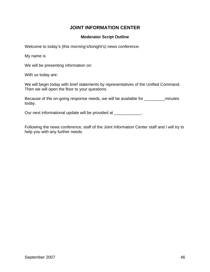## **JOINT INFORMATION CENTER**

### **Moderator Script Outline**

Welcome to today's (this morning's/tonight's) news conference.

My name is

We will be presenting information on:

With us today are:

We will begin today with brief statements by representatives of the Unified Command. Then we will open the floor to your questions.

Because of the on-going response needs, we will be available for \_\_\_\_\_\_\_\_\_\_\_\_\_\_\_ minutes today.

Our next informational update will be provided at \_\_\_\_\_\_\_\_\_\_\_\_.

Following the news conference, staff of the Joint Information Center staff and I will try to help you with any further needs.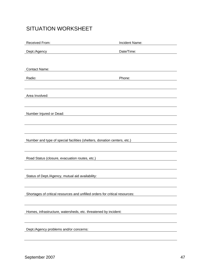## SITUATION WORKSHEET

| Received From:                                                                                  | Incident Name: |  |  |
|-------------------------------------------------------------------------------------------------|----------------|--|--|
| Dept./Agency                                                                                    | Date/Time:     |  |  |
|                                                                                                 |                |  |  |
| <b>Contact Name:</b>                                                                            |                |  |  |
| Radio:                                                                                          | Phone:         |  |  |
|                                                                                                 |                |  |  |
|                                                                                                 |                |  |  |
| Area Involved:                                                                                  |                |  |  |
|                                                                                                 |                |  |  |
| Number Injured or Dead:                                                                         |                |  |  |
|                                                                                                 |                |  |  |
|                                                                                                 |                |  |  |
| Number and type of special facilities (shelters, donation centers, etc.)                        |                |  |  |
|                                                                                                 |                |  |  |
|                                                                                                 |                |  |  |
| Road Status (closure, evacuation routes, etc.)<br>and Status (closure, evacuation routes, etc.) |                |  |  |
|                                                                                                 |                |  |  |
| Status of Dept./Agency, mutual aid availability:                                                |                |  |  |
|                                                                                                 |                |  |  |
| Shortages of critical resources and unfilled orders for critical resources:                     |                |  |  |
|                                                                                                 |                |  |  |
| Homes, infrastructure, watersheds, etc. threatened by incident:                                 |                |  |  |
|                                                                                                 |                |  |  |
|                                                                                                 |                |  |  |
| Dept./Agency problems and/or concerns:                                                          |                |  |  |
|                                                                                                 |                |  |  |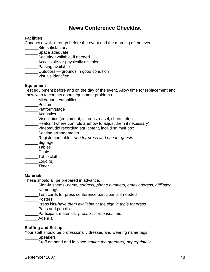## **News Conference Checklist**

## **Facilities**

Conduct a walk-through before the event and the morning of the event.

- Site satisfactory
- \_\_\_\_\_\_Space adequate
- **Example 25 Security available, if needed.**
- **Example 3** Accessible for physically disabled
- Parking available
- \_\_\_\_\_\_Outdoors grounds in good condition
- \_\_\_\_\_\_Visuals identified

#### **Equipment**

Test equipment before and on the day of the event. Allow time for replacement and know who to contact about equipment problems.

- \_\_\_\_\_\_Microphone/amplifier
- \_\_\_\_\_\_Podium
- \_\_\_\_\_\_Platform/stage
- \_\_\_\_\_\_Acoustics
- \_\_\_\_\_\_Visual aids (equipment, screens, easel, charts, etc.)
- **\_\_\_\_\_\_Heat/air (where controls are/how to adjust them if necessary)**
- \_\_\_\_\_\_Video/audio recording equipment, including mult box
- **Example 2** Seating arrangements
- \_\_\_\_\_\_Registration table –*one for press and one for guests*
- **Signage**
- \_\_\_\_\_\_Tables
- \_\_\_\_\_\_Chairs
- \_\_\_\_\_\_Table cloths
- $\textsf{Logo} \ (\text{s})$
- \_\_\_\_\_\_Timer

#### **Materials**

These should all be prepared in advance.

- \_\_\_\_\_\_Sign-in sheets- *name, address, phone numbers, email address, affiliation*
- \_\_\_\_\_\_Name tags
- Tent cards for press conference participants if needed

\_\_\_\_\_\_Posters

- \_\_\_\_\_\_Press kits-*have them available at the sign in table for press*
- Pads and pencils
- \_\_\_\_\_\_Participant materials- *press kits, releases, etc*.
- Agenda

#### **Staffing and Set-up**

Your staff should be professionally dressed and wearing name tags.

Speakers

\_\_\_\_\_\_Staff on hand and in place-*station the greeter(s) appropriately*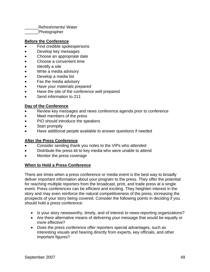| <b>Refreshments/ Water</b> |  |
|----------------------------|--|
| Photographer               |  |

#### **Before the Conference**

- Find credible spokespersons
- Develop key messages
- Choose an appropriate date
- Choose a convenient time
- Identify a site
- Write a media advisory
- Develop a media list
- Fax the media advisory
- Have your materials prepared
- Have the site of the conference well prepared
- Send information to 211

#### **Day of the Conference**

- Review key messages and news conference agenda prior to conference
- Meet members of the press
- PIO should introduce the speakers
- Start promptly
- Have additional people available to answer questions if needed

#### **After the Press Conference**

- Consider sending thank you notes to the VIPs who attended
- Distribute the press kit to key media who were unable to attend
- Monitor the press coverage

#### **When to Hold a Press Conference**

There are times when a press conference or media event is the best way to broadly deliver important information about your program to the press. They offer the potential for reaching multiple reporters from the broadcast, print, and trade press at a single event. Press conferences can be efficient and exciting. They heighten interest in the story and may even reinforce the natural competitiveness of the press, increasing the prospects of your story being covered. Consider the following points in deciding if you should hold a press conference:

- Is your story newsworthy, timely, and of interest to news-reporting organizations?
- Are there alternative means of delivering your message that would be equally or more effective?
- Does the press conference offer reporters special advantages, such as interesting visuals and hearing directly from experts, key officials, and other important figures?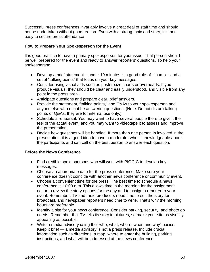Successful press conferences invariably involve a great deal of staff time and should not be undertaken without good reason. Even with a strong topic and story, it is not easy to secure press attendance

#### **How to Prepare Your Spokesperson for the Event**

It is good practice to have a primary spokesperson for your issue. That person should be well prepared for the event and ready to answer reporters' questions. To help your spokesperson:

- Develop a brief statement under 10 minutes is a good rule-of –thumb and a set of "talking points" that focus on your key messages.
- Consider using visual aids such as poster-size charts or overheads. If you produce visuals, they should be clear and easily understood, and visible from any point in the press area.
- Anticipate questions and prepare clear, brief answers.
- Provide the statement, "talking points," and Q&As to your spokesperson and anyone else who might be answering questions. (Note: Do not disturb talking points or Q&As; they are for internal use only.)
- Schedule a rehearsal. You may want to have several people there to give it the feel of the actual event, and you may want to videotape it to assess and improve the presentation.
- Decide how questions will be handled. If more than one person in involved in the presentation, it is a good idea to have a moderator who is knowledgeable about the participants and can call on the best person to answer each question.

#### **Before the News Conference**

- Find credible spokespersons who will work with PIO/JIC to develop key messages.
- Choose an appropriate date for the press conference. Make sure your conference doesn't coincide with another news conference or community event.
- Choose a convenient time for the press. The best time to schedule a news conference is 10:00 a.m. This allows time in the morning for the assignment editor to review the story options for the day and to assign a reporter to your event. Remember, TV and radio producers need time to edit the story for broadcast, and newspaper reporters need time to write. That's why the morning hours are preferable.
- Identify a site for your news conference. Consider parking, security, and photo op needs. Remember that TV tells its story in pictures, so make your site as visually appealing as possible.
- Write a media advisory using the "who, what, where, when and why" basics. Keep it brief — a media advisory is not a press release. Include crucial information such as directions, a map, where to enter the building, parking instructions, and what will be addressed at the news conference.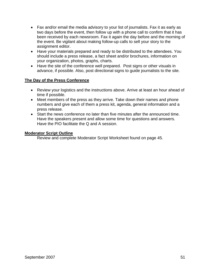- Fax and/or email the media advisory to your list of journalists. Fax it as early as two days before the event, then follow up with a phone call to confirm that it has been received by each newsroom. Fax it again the day before and the morning of the event. Be vigilant about making follow-up calls to sell your story to the assignment editor.
- Have your materials prepared and ready to be distributed to the attendees. You should include a press release, a fact sheet and/or brochures, information on your organization, photos, graphs, charts.
- Have the site of the conference well prepared. Post signs or other visuals in advance, if possible. Also, post directional signs to guide journalists to the site.

#### **The Day of the Press Conference**

- Review your logistics and the instructions above. Arrive at least an hour ahead of time if possible.
- Meet members of the press as they arrive. Take down their names and phone numbers and give each of them a press kit, agenda, general information and a press release.
- Start the news conference no later than five minutes after the announced time. Have the speakers present and allow some time for questions and answers. Have the PIO facilitate the Q and A session.

#### **Moderator Script Outline**

Review and complete Moderator Script Worksheet found on page 45.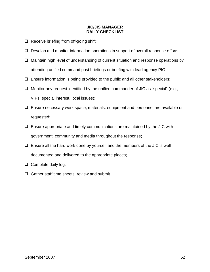#### **JIC/JIS MANAGER DAILY CHECKLIST**

- $\Box$  Receive briefing from off-going shift;
- $\Box$  Develop and monitor information operations in support of overall response efforts;
- $\Box$  Maintain high level of understanding of current situation and response operations by attending unified command post briefings or briefing with lead agency PIO;
- $\Box$  Ensure information is being provided to the public and all other stakeholders;
- $\Box$  Monitor any request identified by the unified commander of JIC as "special" (e.g., VIPs, special interest, local issues);
- $\Box$  Ensure necessary work space, materials, equipment and personnel are available or requested;
- $\Box$  Ensure appropriate and timely communications are maintained by the JIC with government, community and media throughout the response;
- $\Box$  Ensure all the hard work done by yourself and the members of the JIC is well documented and delivered to the appropriate places;
- $\Box$  Complete daily log;
- $\Box$  Gather staff time sheets, review and submit.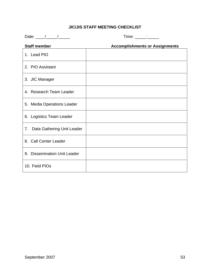## **JIC/JIS STAFF MEETING CHECKLIST**

Date: \_\_\_\_/\_\_\_\_\_/\_\_\_\_\_ Time: \_\_\_\_\_:\_\_\_\_\_

| <b>Staff member</b>              | <b>Accomplishments or Assignments</b> |
|----------------------------------|---------------------------------------|
| 1. Lead PIO                      |                                       |
| 2. PIO Assistant                 |                                       |
| 3. JIC Manager                   |                                       |
| 4. Research Team Leader          |                                       |
| 5. Media Operations Leader       |                                       |
| 6. Logistics Team Leader         |                                       |
| Data Gathering Unit Leader<br>7. |                                       |
| 8. Call Center Leader            |                                       |
| 9. Dissemination Unit Leader     |                                       |
| 10. Field PIOs                   |                                       |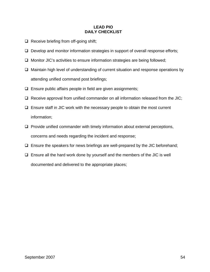#### **LEAD PIO DAILY CHECKLIST**

- $\Box$  Receive briefing from off-going shift;
- $\Box$  Develop and monitor information strategies in support of overall response efforts;
- $\Box$  Monitor JIC's activities to ensure information strategies are being followed;
- $\Box$  Maintain high level of understanding of current situation and response operations by attending unified command post briefings;
- $\Box$  Ensure public affairs people in field are given assignments;
- $\Box$  Receive approval from unified commander on all information released from the JIC;
- $\Box$  Ensure staff in JIC work with the necessary people to obtain the most current information;
- $\Box$  Provide unified commander with timely information about external perceptions, concerns and needs regarding the incident and response;
- $\Box$  Ensure the speakers for news briefings are well-prepared by the JIC beforehand;
- $\Box$  Ensure all the hard work done by yourself and the members of the JIC is well documented and delivered to the appropriate places;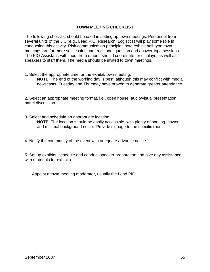#### **TOWN MEETING CHECKLIST**

The following checklist should be used in setting up town meetings. Personnel from several units of the JIC (e.g., Lead PIO, Research, Logistics) will play some role in conducting this activity. Risk communication principles note exhibit hall-type town meetings are far more successful than traditional question and answer-type sessions. The PIO Assistant, with input from others, should coordinate for displays, as well as speakers to staff them. The media should be invited to town meetings.

1. Select the appropriate time for the exhibit/town meeting.

**NOTE**: The end of the working day is best, although this may conflict with media newscasts. Tuesday and Thursday have proven to generate greater attendance.

2. Select an appropriate meeting format, i.e., open house, audio/visual presentation, panel discussion.

3. Select and schedule an appropriate location.

**NOTE**: The location should be easily accessible, with plenty of parking, power and minimal background noise. Provide signage to the specific room.

4. Notify the community of the event with adequate advance notice.

5. Set up exhibits, schedule and conduct speaker preparation and give any assistance with materials for exhibits.

1. Appoint a town meeting moderator, usually the Lead PIO.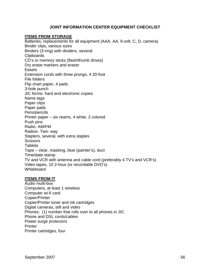#### **JOINT INFORMATION CENTER EQUIPMENT CHECKLIST**

#### **ITEMS FROM STORAGE**

Batteries, replacements for all equipment (AAA, AA, 9-volt, C, D, camera) Binder clips, various sizes Binders (3-ring) with dividers, several Clipboards CD's or memory sticks (flash/thumb drives) Dry erase markers and eraser Easels Extension cords with three prongs, 4 20-foot File folders Flip chart paper, 4 pads 3-hole punch JIC forms- hard and electronic copies Name tags Paper clips Paper pads Pens/pencils Printer paper – six reams, 4 white, 2 colored Push pins Radio, AM/FM Radios- Two- way Staplers, several, with extra staples **Scissors Tablets** Tape – clear, masking, blue (painter's), duct Time/date stamp TV and VCR with antenna and cable cord (preferably 4 TV's and VCR's) Video tapes, 10 2-hour (or recordable DVD's) Whiteboard

#### **ITEMS FROM IT**

Audio multi-box Computers, at least 1 wireless Computer wi-fi card Copier/Printer Copier/Printer toner and ink cartridges Digital cameras, still and video Phones: (1) number that rolls over to all phones in JIC. Phone and DSL cords/cables Power surge protectors **Printer** Printer cartridges, four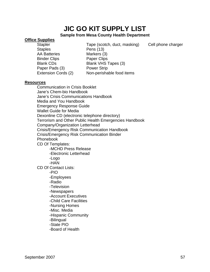# **JIC GO KIT SUPPLY LIST**

#### **Sample from Mesa County Health Department**

#### **Office Supplies**

Staples Pens (13) AA Batteries Markers (3) Binder Clips **Paper Clips** Paper Pads (3) Power Strip

Stapler Tape (scotch, duct, masking) Cell phone charger Blank CDs Blank VHS Tapes (3) Extension Cords (2) Non-perishable food items

#### **Resources**

 Communication in Crisis Booklet Jane's Chem-bio Handbook Jane's Crisis Communications Handbook Media and You Handbook Emergency Response Guide Wallet Guide for Media Dexonline CD (electronic telephone directory) Terrorism and Other Public Health Emergencies Handbook Company/Organization Letterhead Crisis/Emergency Risk Communication Handbook Crisis/Emergency Risk Communication Binder Phonebook CD Of Templates: -MCHD Press Release -Electronic Letterhead -Logo -HAN CD Of Contact Lists: -PIO -Employees -Radio -Television -Newspapers -Account Executives -Child Care Facilities -Nursing Homes -Misc. Media -Hispanic Community -Bilingual -State PIO -Board of Health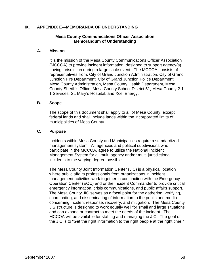#### **IX. APPENDIX E—MEMORANDA OF UNDERSTANDING**

#### **Mesa County Communications Officer Association Memorandum of Understanding**

#### **A. Mission**

It is the mission of the Mesa County Communications Officer Association (MCCOA) to provide incident information, designed to support agency(s) having jurisdiction during a large scale event. The MCCOA consists of representatives from: City of Grand Junction Administration, City of Grand Junction Fire Department, City of Grand Junction Police Department, Mesa County Administration, Mesa County Health Department, Mesa County Sheriff's Office, Mesa County School District 51, Mesa County 2-1- 1 Services, St. Mary's Hospital, and Xcel Energy.

#### **B. Scope**

The scope of this document shall apply to all of Mesa County, except federal lands and shall include lands within the incorporated limits of municipalities of Mesa County.

#### **C. Purpose**

Incidents within Mesa County and Municipalities require a standardized management system. All agencies and political subdivisions who participate in the MCCOA, agree to utilize the National Incident Management System for all multi-agency and/or multi-jurisdictional incidents to the varying degree possible.

The Mesa County Joint Information Center (JIC) is a physical location where public affairs professionals from organizations in incident management activities work together in conjunction with the Emergency Operation Center (EOC) and or the Incident Commander to provide critical emergency information, crisis communications, and public affairs support. The Mesa County JIC serves as a focal point for the gathering, verifying, coordinating, and disseminating of information to the public and media concerning incident response, recovery, and mitigation. The Mesa County JIS structure is designed to work equally well for small and large situations and can expand or contract to meet the needs of the incident. The MCCOA will be available for staffing and managing the JIC. The goal of the JIC is to "Get the right information to the right people at the right time."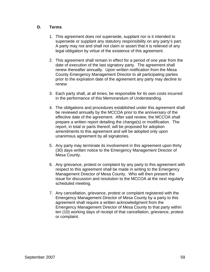#### **D. Terms**

- 1. This agreement does not supersede, supplant nor is it intended to supersede or supplant any statutory responsibility on any party's part. A party may not and shall not claim or assert that it is relieved of any legal obligation by virtue of the existence of this agreement.
- 2. This agreement shall remain in effect for a period of one year from the date of execution of the last signatory party. The agreement shall renew thereafter annually. Upon written notification from the Mesa County Emergency Management Director to all participating parties prior to the expiration date of the agreement any party may decline to renew.
- 3. Each party shall, at all times, be responsible for its own costs incurred in the performance of this Memorandum of Understanding.
- 4. The obligations and procedures established under this agreement shall be reviewed annually by the MCCOA prior to the anniversary of the effective date of the agreement. After said review, the MCCOA shall prepare a written report detailing the change(s) or modification. The report, in total or parts thereof, will be proposed for adoption amendments to this agreement and will be adopted only upon unanimous agreement by all signatories.
- 5. Any party may terminate its involvement in this agreement upon thirty (30) days written notice to the Emergency Management Director of Mesa County.
- 6. Any grievance, protest or complaint by any party to this agreement with respect to this agreement shall be made in writing to the Emergency Management Director of Mesa County. Who will then present the issue for discussion and resolution to the MCCOA at the next regularly scheduled meeting.
- 7. Any cancellation, grievance, protest or complaint registered with the Emergency Management Director of Mesa County by a party to this agreement shall require a written acknowledgment from the Emergency Management Director of Mesa County to that party within ten (10) working days of receipt of that cancellation, grievance, protest or complaint.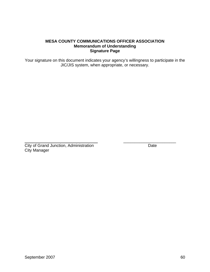Your signature on this document indicates your agency's willingness to participate in the JIC/JIS system, when appropriate, or necessary.

 \_\_\_\_\_\_\_\_\_\_\_\_\_\_\_\_\_\_\_\_\_\_\_ **City of Grand Junction, Administration** Date City Manager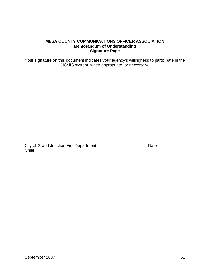Your signature on this document indicates your agency's willingness to participate in the JIC/JIS system, when appropriate, or necessary*.* 

 \_\_\_\_\_\_\_\_\_\_\_\_\_\_\_\_\_\_\_\_\_\_\_ **City of Grand Junction Fire Department** Date Date **Chief**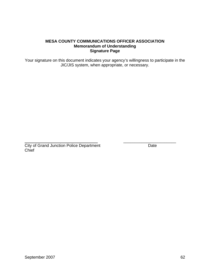Your signature on this document indicates your agency's willingness to participate in the JIC/JIS system, when appropriate, or necessary.

 \_\_\_\_\_\_\_\_\_\_\_\_\_\_\_\_\_\_\_\_\_\_\_ **City of Grand Junction Police Department Date Chief**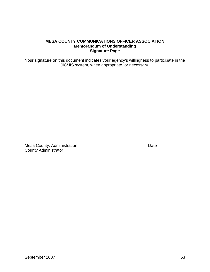Your signature on this document indicates your agency's willingness to participate in the JIC/JIS system, when appropriate, or necessary.

 $\frac{1}{2}$  , and the set of the set of the set of the set of the set of the set of the set of the set of the set of the set of the set of the set of the set of the set of the set of the set of the set of the set of the set

**Mesa County, Administration** Date County Administrator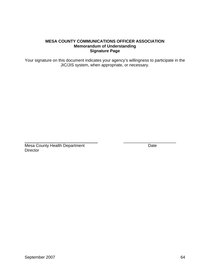Your signature on this document indicates your agency's willingness to participate in the JIC/JIS system, when appropriate, or necessary.

\_\_\_\_\_\_\_\_\_\_\_\_\_\_\_\_\_\_\_\_\_\_\_

Mesa County Health Department **Date** Date **Director**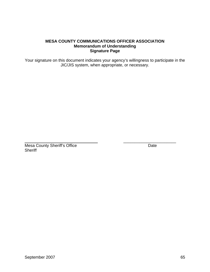Your signature on this document indicates your agency's willingness to participate in the JIC/JIS system, when appropriate, or necessary.

\_\_\_\_\_\_\_\_\_\_\_\_\_\_\_\_\_\_\_\_\_\_\_

**Mesa County Sheriff's Office** Date Date **Sheriff**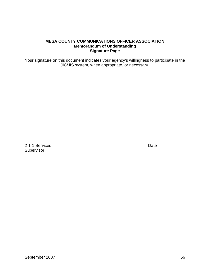Your signature on this document indicates your agency's willingness to participate in the JIC/JIS system, when appropriate, or necessary.

\_\_\_\_\_\_\_\_\_\_\_\_\_\_\_\_\_\_\_\_\_\_\_

2-1-1 Services Date Supervisor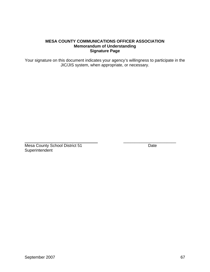Your signature on this document indicates your agency's willingness to participate in the JIC/JIS system, when appropriate, or necessary.

\_\_\_\_\_\_\_\_\_\_\_\_\_\_\_\_\_\_\_\_\_\_\_

Mesa County School District 51 Date **Superintendent**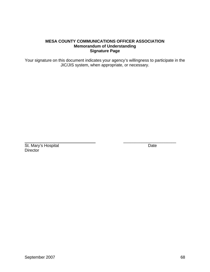Your signature on this document indicates your agency's willingness to participate in the JIC/JIS system, when appropriate, or necessary.

 $\overline{\phantom{a}}$  , and the contract of the contract of the contract of the contract of the contract of the contract of the contract of the contract of the contract of the contract of the contract of the contract of the contrac

St. Mary's Hospital Date **Director**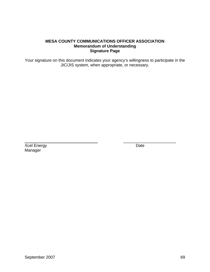Your signature on this document indicates your agency's willingness to participate in the JIC/JIS system, when appropriate, or necessary.

Xcel Energy Date Manager

\_\_\_\_\_\_\_\_\_\_\_\_\_\_\_\_\_\_\_\_\_\_\_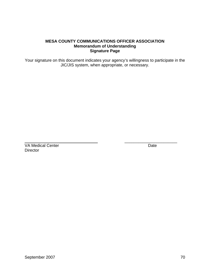Your signature on this document indicates your agency's willingness to participate in the JIC/JIS system, when appropriate, or necessary.

 $\overline{\phantom{a}}$  , and the contract of the contract of the contract of the contract of the contract of the contract of the contract of the contract of the contract of the contract of the contract of the contract of the contrac

VA Medical Center **Date Director**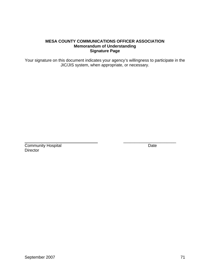Your signature on this document indicates your agency's willingness to participate in the JIC/JIS system, when appropriate, or necessary.

\_\_\_\_\_\_\_\_\_\_\_\_\_\_\_\_\_\_\_\_\_\_\_

**Community Hospital Date Director**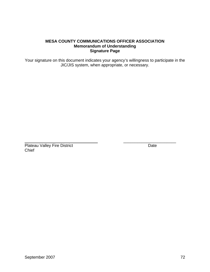Your signature on this document indicates your agency's willingness to participate in the JIC/JIS system, when appropriate, or necessary.

\_\_\_\_\_\_\_\_\_\_\_\_\_\_\_\_\_\_\_\_\_\_\_

Plateau Valley Fire District **Date** Date **Chief**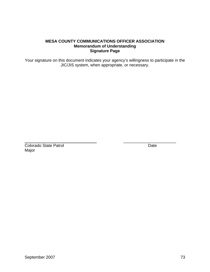Your signature on this document indicates your agency's willingness to participate in the JIC/JIS system, when appropriate, or necessary.

\_\_\_\_\_\_\_\_\_\_\_\_\_\_\_\_\_\_\_\_\_\_\_

Colorado State Patrol **Date** Major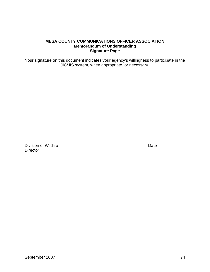Your signature on this document indicates your agency's willingness to participate in the JIC/JIS system, when appropriate, or necessary.

\_\_\_\_\_\_\_\_\_\_\_\_\_\_\_\_\_\_\_\_\_\_\_

Division of Wildlife Date Date **Director**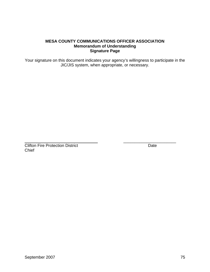Your signature on this document indicates your agency's willingness to participate in the JIC/JIS system, when appropriate, or necessary.

\_\_\_\_\_\_\_\_\_\_\_\_\_\_\_\_\_\_\_\_\_\_\_

**Clifton Fire Protection District Clifton Fire Protection District** Date **Chief**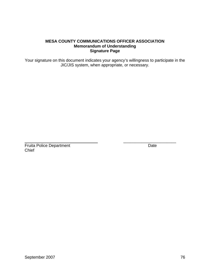Your signature on this document indicates your agency's willingness to participate in the JIC/JIS system, when appropriate, or necessary.

\_\_\_\_\_\_\_\_\_\_\_\_\_\_\_\_\_\_\_\_\_\_\_

Fruita Police Department Date **Chief**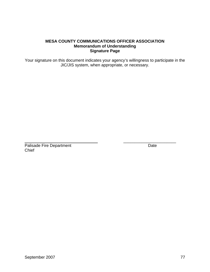Your signature on this document indicates your agency's willingness to participate in the JIC/JIS system, when appropriate, or necessary.

\_\_\_\_\_\_\_\_\_\_\_\_\_\_\_\_\_\_\_\_\_\_\_

Palisade Fire Department Date **Chief**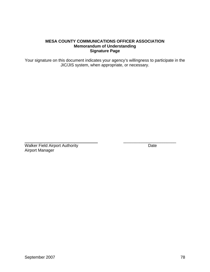Your signature on this document indicates your agency's willingness to participate in the JIC/JIS system, when appropriate, or necessary.

\_\_\_\_\_\_\_\_\_\_\_\_\_\_\_\_\_\_\_\_\_\_\_

Walker Field Airport Authority **Date** Airport Manager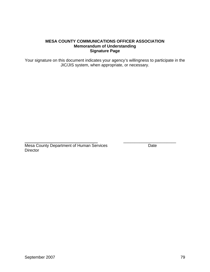Your signature on this document indicates your agency's willingness to participate in the JIC/JIS system, when appropriate, or necessary.

 \_\_\_\_\_\_\_\_\_\_\_\_\_\_\_\_\_\_\_\_\_\_\_ Mesa County Department of Human Services Date **Director**